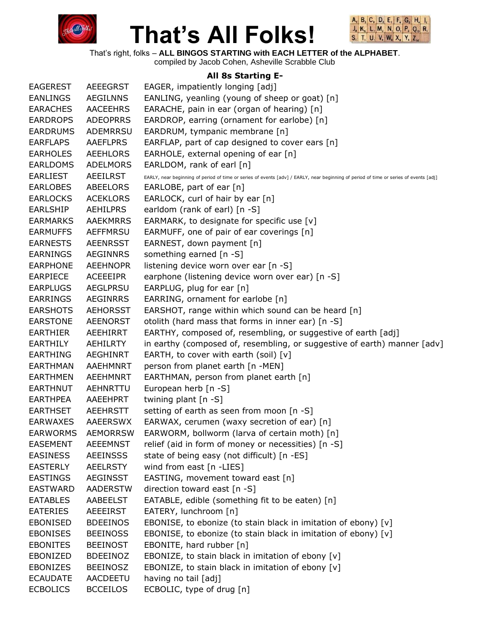



That's right, folks – **ALL BINGOS STARTING with EACH LETTER of the ALPHABET**. compiled by Jacob Cohen, Asheville Scrabble Club

#### **All 8s Starting E-**

| <b>EAGEREST</b> | <b>AEEEGRST</b> | EAGER, impatiently longing [adj]                                                                                                      |
|-----------------|-----------------|---------------------------------------------------------------------------------------------------------------------------------------|
| <b>EANLINGS</b> | <b>AEGILNNS</b> | EANLING, yeanling (young of sheep or goat) [n]                                                                                        |
| <b>EARACHES</b> | <b>AACEEHRS</b> | EARACHE, pain in ear (organ of hearing) [n]                                                                                           |
| <b>EARDROPS</b> | <b>ADEOPRRS</b> | EARDROP, earring (ornament for earlobe) [n]                                                                                           |
| <b>EARDRUMS</b> | <b>ADEMRRSU</b> | EARDRUM, tympanic membrane [n]                                                                                                        |
| <b>EARFLAPS</b> | <b>AAEFLPRS</b> | EARFLAP, part of cap designed to cover ears [n]                                                                                       |
| <b>EARHOLES</b> | AEEHLORS        | EARHOLE, external opening of ear [n]                                                                                                  |
| <b>EARLDOMS</b> | <b>ADELMORS</b> | EARLDOM, rank of earl [n]                                                                                                             |
| <b>EARLIEST</b> | <b>AEEILRST</b> | EARLY, near beginning of period of time or series of events [adv] / EARLY, near beginning of period of time or series of events [adj] |
| <b>EARLOBES</b> | ABEELORS        | EARLOBE, part of ear [n]                                                                                                              |
| <b>EARLOCKS</b> | <b>ACEKLORS</b> | EARLOCK, curl of hair by ear [n]                                                                                                      |
| <b>EARLSHIP</b> | <b>AEHILPRS</b> | earldom (rank of earl) [n -S]                                                                                                         |
| <b>EARMARKS</b> | <b>AAEKMRRS</b> | EARMARK, to designate for specific use [v]                                                                                            |
| <b>EARMUFFS</b> | AEFFMRSU        | EARMUFF, one of pair of ear coverings [n]                                                                                             |
| <b>EARNESTS</b> | <b>AEENRSST</b> | EARNEST, down payment [n]                                                                                                             |
| <b>EARNINGS</b> | <b>AEGINNRS</b> | something earned [n -S]                                                                                                               |
| <b>EARPHONE</b> | <b>AEEHNOPR</b> | listening device worn over ear [n -S]                                                                                                 |
| <b>EARPIECE</b> | ACEEEIPR        | earphone (listening device worn over ear) [n -S]                                                                                      |
| <b>EARPLUGS</b> | AEGLPRSU        | EARPLUG, plug for ear [n]                                                                                                             |
| <b>EARRINGS</b> | <b>AEGINRRS</b> | EARRING, ornament for earlobe [n]                                                                                                     |
| <b>EARSHOTS</b> | <b>AEHORSST</b> | EARSHOT, range within which sound can be heard [n]                                                                                    |
| <b>EARSTONE</b> | <b>AEENORST</b> | otolith (hard mass that forms in inner ear) [n -S]                                                                                    |
| <b>EARTHIER</b> | AEEHIRRT        | EARTHY, composed of, resembling, or suggestive of earth [adj]                                                                         |
| <b>EARTHILY</b> | AEHILRTY        | in earthy (composed of, resembling, or suggestive of earth) manner [adv]                                                              |
| <b>EARTHING</b> | <b>AEGHINRT</b> | EARTH, to cover with earth (soil) $[v]$                                                                                               |
| <b>EARTHMAN</b> | AAEHMNRT        | person from planet earth [n -MEN]                                                                                                     |
| <b>EARTHMEN</b> | <b>AEEHMNRT</b> | EARTHMAN, person from planet earth [n]                                                                                                |
| <b>EARTHNUT</b> | AEHNRTTU        | European herb [n -S]                                                                                                                  |
| <b>EARTHPEA</b> | AAEEHPRT        | twining plant [n -S]                                                                                                                  |
| <b>EARTHSET</b> | AEEHRSTT        | setting of earth as seen from moon [n -S]                                                                                             |
| <b>EARWAXES</b> | AAEERSWX        | EARWAX, cerumen (waxy secretion of ear) [n]                                                                                           |
| <b>EARWORMS</b> | <b>AEMORRSW</b> | EARWORM, bollworm (larva of certain moth) [n]                                                                                         |
| <b>EASEMENT</b> | <b>AEEEMNST</b> | relief (aid in form of money or necessities) [n -S]                                                                                   |
| <b>EASINESS</b> | <b>AEEINSSS</b> | state of being easy (not difficult) [n -ES]                                                                                           |
| <b>EASTERLY</b> | <b>AEELRSTY</b> | wind from east [n -LIES]                                                                                                              |
| <b>EASTINGS</b> | <b>AEGINSST</b> | EASTING, movement toward east [n]                                                                                                     |
| <b>EASTWARD</b> | <b>AADERSTW</b> | direction toward east [n -S]                                                                                                          |
| <b>EATABLES</b> | <b>AABEELST</b> | EATABLE, edible (something fit to be eaten) [n]                                                                                       |
| <b>EATERIES</b> | AEEEIRST        | EATERY, lunchroom [n]                                                                                                                 |
| <b>EBONISED</b> | <b>BDEEINOS</b> | EBONISE, to ebonize (to stain black in imitation of ebony) [v]                                                                        |
| <b>EBONISES</b> | <b>BEEINOSS</b> | EBONISE, to ebonize (to stain black in imitation of ebony) [v]                                                                        |
| <b>EBONITES</b> | <b>BEEINOST</b> | EBONITE, hard rubber [n]                                                                                                              |
| EBONIZED        | <b>BDEEINOZ</b> | EBONIZE, to stain black in imitation of ebony [v]                                                                                     |
| <b>EBONIZES</b> | <b>BEEINOSZ</b> | EBONIZE, to stain black in imitation of ebony [v]                                                                                     |
| <b>ECAUDATE</b> | AACDEETU        | having no tail [adj]                                                                                                                  |
| <b>ECBOLICS</b> | <b>BCCEILOS</b> | ECBOLIC, type of drug [n]                                                                                                             |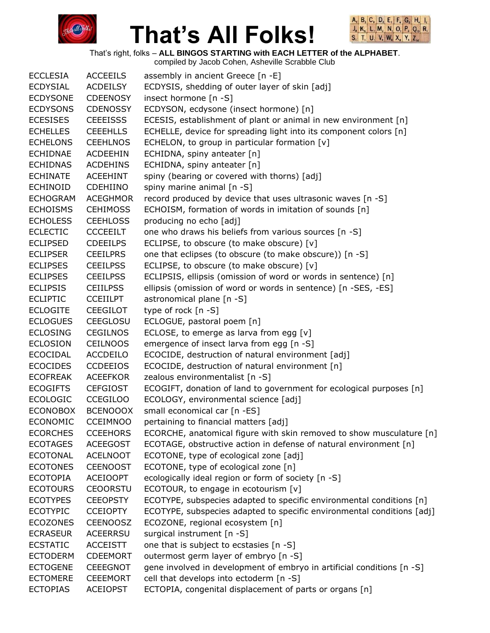



That's right, folks – **ALL BINGOS STARTING with EACH LETTER of the ALPHABET**. compiled by Jacob Cohen, Asheville Scrabble Club

|                 |                 | complied by Jacob Conen, Asheville Scrabble Club                       |
|-----------------|-----------------|------------------------------------------------------------------------|
| <b>ECCLESIA</b> | <b>ACCEEILS</b> | assembly in ancient Greece [n -E]                                      |
| <b>ECDYSIAL</b> | <b>ACDEILSY</b> | ECDYSIS, shedding of outer layer of skin [adj]                         |
| <b>ECDYSONE</b> | <b>CDEENOSY</b> | insect hormone [n -S]                                                  |
| <b>ECDYSONS</b> | <b>CDENOSSY</b> | ECDYSON, ecdysone (insect hormone) [n]                                 |
| <b>ECESISES</b> | <b>CEEEISSS</b> | ECESIS, establishment of plant or animal in new environment [n]        |
| <b>ECHELLES</b> | <b>CEEEHLLS</b> | ECHELLE, device for spreading light into its component colors [n]      |
| <b>ECHELONS</b> | <b>CEEHLNOS</b> | ECHELON, to group in particular formation [v]                          |
| <b>ECHIDNAE</b> | <b>ACDEEHIN</b> | ECHIDNA, spiny anteater [n]                                            |
| <b>ECHIDNAS</b> | <b>ACDEHINS</b> | ECHIDNA, spiny anteater [n]                                            |
| <b>ECHINATE</b> | <b>ACEEHINT</b> | spiny (bearing or covered with thorns) [adj]                           |
| <b>ECHINOID</b> | <b>CDEHIINO</b> | spiny marine animal [n -S]                                             |
| <b>ECHOGRAM</b> | <b>ACEGHMOR</b> | record produced by device that uses ultrasonic waves [n -S]            |
| <b>ECHOISMS</b> | <b>CEHIMOSS</b> | ECHOISM, formation of words in imitation of sounds [n]                 |
| <b>ECHOLESS</b> | <b>CEEHLOSS</b> | producing no echo [adj]                                                |
| <b>ECLECTIC</b> | <b>CCCEEILT</b> | one who draws his beliefs from various sources [n -S]                  |
| <b>ECLIPSED</b> | <b>CDEEILPS</b> | ECLIPSE, to obscure (to make obscure) [v]                              |
| <b>ECLIPSER</b> | <b>CEEILPRS</b> | one that eclipses (to obscure (to make obscure)) [n -S]                |
| <b>ECLIPSES</b> | <b>CEEILPSS</b> | ECLIPSE, to obscure (to make obscure) [v]                              |
| <b>ECLIPSES</b> | <b>CEEILPSS</b> | ECLIPSIS, ellipsis (omission of word or words in sentence) [n]         |
| <b>ECLIPSIS</b> | <b>CEIILPSS</b> | ellipsis (omission of word or words in sentence) [n -SES, -ES]         |
| <b>ECLIPTIC</b> | <b>CCEIILPT</b> | astronomical plane [n -S]                                              |
| <b>ECLOGITE</b> | <b>CEEGILOT</b> | type of rock [n -S]                                                    |
| <b>ECLOGUES</b> | <b>CEEGLOSU</b> | ECLOGUE, pastoral poem [n]                                             |
| <b>ECLOSING</b> | <b>CEGILNOS</b> | ECLOSE, to emerge as larva from egg $[v]$                              |
| <b>ECLOSION</b> | <b>CEILNOOS</b> | emergence of insect larva from egg [n -S]                              |
| <b>ECOCIDAL</b> | <b>ACCDEILO</b> | ECOCIDE, destruction of natural environment [adj]                      |
| <b>ECOCIDES</b> | <b>CCDEEIOS</b> | ECOCIDE, destruction of natural environment [n]                        |
| <b>ECOFREAK</b> | <b>ACEEFKOR</b> | zealous environmentalist [n -S]                                        |
| <b>ECOGIFTS</b> | <b>CEFGIOST</b> | ECOGIFT, donation of land to government for ecological purposes [n]    |
| <b>ECOLOGIC</b> | <b>CCEGILOO</b> | ECOLOGY, environmental science [adj]                                   |
| <b>ECONOBOX</b> | <b>BCENOOOX</b> | small economical car [n -ES]                                           |
| <b>ECONOMIC</b> | <b>CCEIMNOO</b> | pertaining to financial matters [adj]                                  |
| <b>ECORCHES</b> | <b>CCEEHORS</b> | ECORCHE, anatomical figure with skin removed to show musculature [n]   |
| <b>ECOTAGES</b> | <b>ACEEGOST</b> | ECOTAGE, obstructive action in defense of natural environment [n]      |
| <b>ECOTONAL</b> | <b>ACELNOOT</b> | ECOTONE, type of ecological zone [adj]                                 |
| <b>ECOTONES</b> | <b>CEENOOST</b> | ECOTONE, type of ecological zone [n]                                   |
| <b>ECOTOPIA</b> | <b>ACEIOOPT</b> | ecologically ideal region or form of society [n -S]                    |
| <b>ECOTOURS</b> | <b>CEOORSTU</b> | ECOTOUR, to engage in ecotourism [v]                                   |
| <b>ECOTYPES</b> | <b>CEEOPSTY</b> | ECOTYPE, subspecies adapted to specific environmental conditions [n]   |
| <b>ECOTYPIC</b> | <b>CCEIOPTY</b> | ECOTYPE, subspecies adapted to specific environmental conditions [adj] |
| <b>ECOZONES</b> | <b>CEENOOSZ</b> | ECOZONE, regional ecosystem [n]                                        |
| <b>ECRASEUR</b> | <b>ACEERRSU</b> | surgical instrument [n -S]                                             |
| <b>ECSTATIC</b> | <b>ACCEISTT</b> | one that is subject to ecstasies [n -S]                                |
| <b>ECTODERM</b> | <b>CDEEMORT</b> | outermost germ layer of embryo [n -S]                                  |
| <b>ECTOGENE</b> | <b>CEEEGNOT</b> | gene involved in development of embryo in artificial conditions [n -S] |
| <b>ECTOMERE</b> | <b>CEEEMORT</b> | cell that develops into ectoderm [n -S]                                |
| <b>ECTOPIAS</b> | <b>ACEIOPST</b> | ECTOPIA, congenital displacement of parts or organs [n]                |
|                 |                 |                                                                        |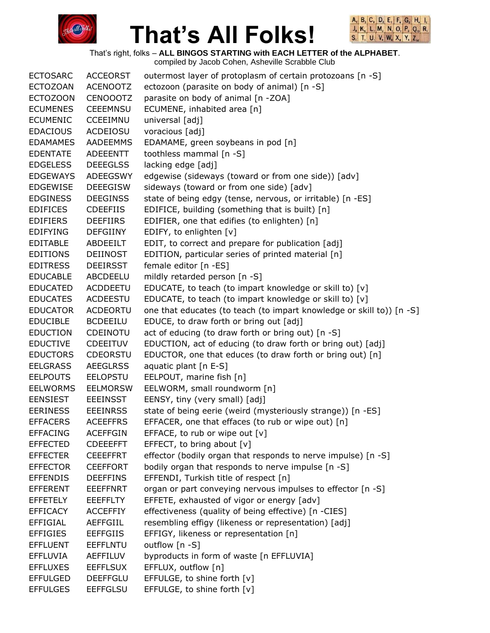



That's right, folks – **ALL BINGOS STARTING with EACH LETTER of the ALPHABET**.

| <b>ECTOSARC</b> | <b>ACCEORST</b> | outermost layer of protoplasm of certain protozoans [n -S]            |
|-----------------|-----------------|-----------------------------------------------------------------------|
| <b>ECTOZOAN</b> | <b>ACENOOTZ</b> | ectozoon (parasite on body of animal) [n -S]                          |
| <b>ECTOZOON</b> | <b>CENOOOTZ</b> | parasite on body of animal [n -ZOA]                                   |
| <b>ECUMENES</b> | <b>CEEEMNSU</b> | ECUMENE, inhabited area [n]                                           |
| <b>ECUMENIC</b> | <b>CCEEIMNU</b> | universal [adj]                                                       |
| <b>EDACIOUS</b> | ACDEIOSU        | voracious [adj]                                                       |
| <b>EDAMAMES</b> | <b>AADEEMMS</b> | EDAMAME, green soybeans in pod [n]                                    |
| <b>EDENTATE</b> | <b>ADEEENTT</b> | toothless mammal [n -S]                                               |
| <b>EDGELESS</b> | <b>DEEEGLSS</b> | lacking edge [adj]                                                    |
| <b>EDGEWAYS</b> | <b>ADEEGSWY</b> | edgewise (sideways (toward or from one side)) [adv]                   |
| <b>EDGEWISE</b> | <b>DEEEGISW</b> | sideways (toward or from one side) [adv]                              |
| <b>EDGINESS</b> | <b>DEEGINSS</b> | state of being edgy (tense, nervous, or irritable) [n -ES]            |
| <b>EDIFICES</b> | <b>CDEEFIIS</b> | EDIFICE, building (something that is built) [n]                       |
| <b>EDIFIERS</b> | <b>DEEFIIRS</b> | EDIFIER, one that edifies (to enlighten) [n]                          |
| <b>EDIFYING</b> | <b>DEFGIINY</b> | EDIFY, to enlighten [v]                                               |
| <b>EDITABLE</b> | ABDEEILT        | EDIT, to correct and prepare for publication [adj]                    |
| <b>EDITIONS</b> | <b>DEIINOST</b> | EDITION, particular series of printed material [n]                    |
| <b>EDITRESS</b> | <b>DEEIRSST</b> | female editor [n -ES]                                                 |
| <b>EDUCABLE</b> | ABCDEELU        | mildly retarded person [n -S]                                         |
| <b>EDUCATED</b> | <b>ACDDEETU</b> | EDUCATE, to teach (to impart knowledge or skill to) [v]               |
| <b>EDUCATES</b> | <b>ACDEESTU</b> | EDUCATE, to teach (to impart knowledge or skill to) [v]               |
| <b>EDUCATOR</b> | <b>ACDEORTU</b> | one that educates (to teach (to impart knowledge or skill to)) [n -S] |
| <b>EDUCIBLE</b> | <b>BCDEEILU</b> | EDUCE, to draw forth or bring out [adj]                               |
| <b>EDUCTION</b> | CDEINOTU        | act of educing (to draw forth or bring out) [n -S]                    |
| <b>EDUCTIVE</b> | <b>CDEEITUV</b> | EDUCTION, act of educing (to draw forth or bring out) [adj]           |
| <b>EDUCTORS</b> | <b>CDEORSTU</b> | EDUCTOR, one that educes (to draw forth or bring out) [n]             |
| <b>EELGRASS</b> | <b>AEEGLRSS</b> | aquatic plant [n E-S]                                                 |
| <b>EELPOUTS</b> | <b>EELOPSTU</b> | EELPOUT, marine fish [n]                                              |
| <b>EELWORMS</b> | <b>EELMORSW</b> | EELWORM, small roundworm [n]                                          |
| <b>EENSIEST</b> | <b>EEEINSST</b> | EENSY, tiny (very small) [adj]                                        |
| <b>EERINESS</b> | <b>EEEINRSS</b> | state of being eerie (weird (mysteriously strange)) [n -ES]           |
| <b>EFFACERS</b> | <b>ACEEFFRS</b> | EFFACER, one that effaces (to rub or wipe out) [n]                    |
| <b>EFFACING</b> | <b>ACEFFGIN</b> | EFFACE, to rub or wipe out [v]                                        |
| <b>EFFECTED</b> | <b>CDEEEFFT</b> | EFFECT, to bring about [v]                                            |
| <b>EFFECTER</b> | <b>CEEEFFRT</b> | effector (bodily organ that responds to nerve impulse) [n -S]         |
| <b>EFFECTOR</b> | <b>CEEFFORT</b> | bodily organ that responds to nerve impulse [n -S]                    |
| <b>EFFENDIS</b> | <b>DEEFFINS</b> | EFFENDI, Turkish title of respect [n]                                 |
| <b>EFFERENT</b> | <b>EEEFFNRT</b> | organ or part conveying nervous impulses to effector [n -S]           |
| <b>EFFETELY</b> | <b>EEEFFLTY</b> | EFFETE, exhausted of vigor or energy [adv]                            |
| <b>EFFICACY</b> | <b>ACCEFFIY</b> | effectiveness (quality of being effective) [n -CIES]                  |
| <b>EFFIGIAL</b> | <b>AEFFGIIL</b> | resembling effigy (likeness or representation) [adj]                  |
| <b>EFFIGIES</b> | <b>EEFFGIIS</b> | EFFIGY, likeness or representation [n]                                |
| <b>EFFLUENT</b> | EEFFLNTU        | outflow [n -S]                                                        |
| <b>EFFLUVIA</b> | <b>AEFFILUV</b> | byproducts in form of waste [n EFFLUVIA]                              |
| <b>EFFLUXES</b> | <b>EEFFLSUX</b> | EFFLUX, outflow [n]                                                   |
| <b>EFFULGED</b> | <b>DEEFFGLU</b> | EFFULGE, to shine forth [v]                                           |
| <b>EFFULGES</b> | <b>EEFFGLSU</b> | EFFULGE, to shine forth [v]                                           |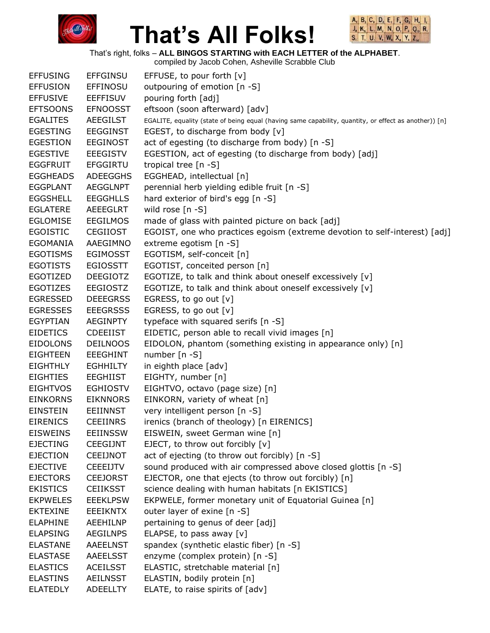



That's right, folks – **ALL BINGOS STARTING with EACH LETTER of the ALPHABET**.

| <b>EFFUSING</b> | <b>EFFGINSU</b> | EFFUSE, to pour forth [v]                                                                             |
|-----------------|-----------------|-------------------------------------------------------------------------------------------------------|
| <b>EFFUSION</b> | EFFINOSU        | outpouring of emotion [n -S]                                                                          |
| <b>EFFUSIVE</b> | <b>EEFFISUV</b> | pouring forth [adj]                                                                                   |
| <b>EFTSOONS</b> | <b>EFNOOSST</b> | eftsoon (soon afterward) [adv]                                                                        |
| <b>EGALITES</b> | <b>AEEGILST</b> | EGALITE, equality (state of being equal (having same capability, quantity, or effect as another)) [n] |
| <b>EGESTING</b> | <b>EEGGINST</b> | EGEST, to discharge from body [v]                                                                     |
| <b>EGESTION</b> | <b>EEGINOST</b> | act of egesting (to discharge from body) [n -S]                                                       |
| <b>EGESTIVE</b> | <b>EEEGISTV</b> | EGESTION, act of egesting (to discharge from body) [adj]                                              |
| <b>EGGFRUIT</b> | <b>EFGGIRTU</b> | tropical tree [n -S]                                                                                  |
| <b>EGGHEADS</b> | <b>ADEEGGHS</b> | EGGHEAD, intellectual [n]                                                                             |
| <b>EGGPLANT</b> | <b>AEGGLNPT</b> | perennial herb yielding edible fruit [n -S]                                                           |
| <b>EGGSHELL</b> | <b>EEGGHLLS</b> | hard exterior of bird's egg [n -S]                                                                    |
| <b>EGLATERE</b> | AEEEGLRT        | wild rose [n -S]                                                                                      |
| <b>EGLOMISE</b> | <b>EEGILMOS</b> | made of glass with painted picture on back [adj]                                                      |
| <b>EGOISTIC</b> | <b>CEGIIOST</b> | EGOIST, one who practices egoism (extreme devotion to self-interest) [adj]                            |
| EGOMANIA        | AAEGIMNO        | extreme egotism [n -S]                                                                                |
| <b>EGOTISMS</b> | <b>EGIMOSST</b> | EGOTISM, self-conceit [n]                                                                             |
| <b>EGOTISTS</b> | <b>EGIOSSTT</b> | EGOTIST, conceited person [n]                                                                         |
| EGOTIZED        | <b>DEEGIOTZ</b> | EGOTIZE, to talk and think about oneself excessively [v]                                              |
| <b>EGOTIZES</b> | EEGIOSTZ        | EGOTIZE, to talk and think about oneself excessively [v]                                              |
| <b>EGRESSED</b> | <b>DEEEGRSS</b> | EGRESS, to go out [v]                                                                                 |
| <b>EGRESSES</b> | <b>EEEGRSSS</b> | EGRESS, to go out [v]                                                                                 |
| <b>EGYPTIAN</b> | <b>AEGINPTY</b> | typeface with squared serifs [n -S]                                                                   |
| <b>EIDETICS</b> | <b>CDEEIIST</b> | EIDETIC, person able to recall vivid images [n]                                                       |
| <b>EIDOLONS</b> | <b>DEILNOOS</b> | EIDOLON, phantom (something existing in appearance only) [n]                                          |
| <b>EIGHTEEN</b> | <b>EEEGHINT</b> | number [n -S]                                                                                         |
| <b>EIGHTHLY</b> | <b>EGHHILTY</b> | in eighth place [adv]                                                                                 |
| <b>EIGHTIES</b> | <b>EEGHIIST</b> | EIGHTY, number [n]                                                                                    |
| <b>EIGHTVOS</b> | <b>EGHIOSTV</b> | EIGHTVO, octavo (page size) [n]                                                                       |
| <b>EINKORNS</b> | <b>EIKNNORS</b> | EINKORN, variety of wheat [n]                                                                         |
| <b>EINSTEIN</b> | <b>EEIINNST</b> | very intelligent person [n -S]                                                                        |
| <b>EIRENICS</b> | <b>CEEIINRS</b> | irenics (branch of theology) [n EIRENICS]                                                             |
| <b>EISWEINS</b> | <b>EEIINSSW</b> | EISWEIN, sweet German wine [n]                                                                        |
| <b>EJECTING</b> | CEEGIJNT        | EJECT, to throw out forcibly [v]                                                                      |
| <b>EJECTION</b> | <b>CEEIJNOT</b> | act of ejecting (to throw out forcibly) [n -S]                                                        |
| <b>EJECTIVE</b> | <b>CEEEIJTV</b> | sound produced with air compressed above closed glottis [n -S]                                        |
| <b>EJECTORS</b> | <b>CEEJORST</b> | EJECTOR, one that ejects (to throw out forcibly) [n]                                                  |
| <b>EKISTICS</b> | <b>CEIIKSST</b> | science dealing with human habitats [n EKISTICS]                                                      |
| <b>EKPWELES</b> | <b>EEEKLPSW</b> | EKPWELE, former monetary unit of Equatorial Guinea [n]                                                |
| <b>EKTEXINE</b> | <b>EEEIKNTX</b> | outer layer of exine [n -S]                                                                           |
| <b>ELAPHINE</b> | <b>AEEHILNP</b> | pertaining to genus of deer [adj]                                                                     |
| <b>ELAPSING</b> | <b>AEGILNPS</b> | ELAPSE, to pass away $[v]$                                                                            |
| <b>ELASTANE</b> | <b>AAEELNST</b> | spandex (synthetic elastic fiber) [n -S]                                                              |
| <b>ELASTASE</b> | AAEELSST        | enzyme (complex protein) [n -S]                                                                       |
| <b>ELASTICS</b> | <b>ACEILSST</b> | ELASTIC, stretchable material [n]                                                                     |
| <b>ELASTINS</b> | <b>AEILNSST</b> | ELASTIN, bodily protein [n]                                                                           |
| <b>ELATEDLY</b> | <b>ADEELLTY</b> | ELATE, to raise spirits of [adv]                                                                      |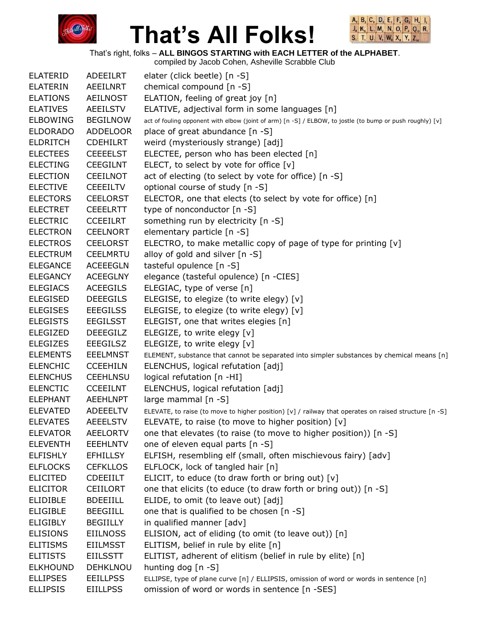



That's right, folks – **ALL BINGOS STARTING with EACH LETTER of the ALPHABET**.

| <b>ELATERID</b> | ADEEILRT        | elater (click beetle) [n -S]                                                                              |
|-----------------|-----------------|-----------------------------------------------------------------------------------------------------------|
| <b>ELATERIN</b> | AEEILNRT        | chemical compound [n -S]                                                                                  |
| <b>ELATIONS</b> | <b>AEILNOST</b> | ELATION, feeling of great joy [n]                                                                         |
| <b>ELATIVES</b> | <b>AEEILSTV</b> | ELATIVE, adjectival form in some languages [n]                                                            |
| <b>ELBOWING</b> | <b>BEGILNOW</b> | act of fouling opponent with elbow (joint of arm) [n -S] / ELBOW, to jostle (to bump or push roughly) [v] |
| <b>ELDORADO</b> | <b>ADDELOOR</b> | place of great abundance [n -S]                                                                           |
| <b>ELDRITCH</b> | <b>CDEHILRT</b> | weird (mysteriously strange) [adj]                                                                        |
| <b>ELECTEES</b> | <b>CEEEELST</b> | ELECTEE, person who has been elected [n]                                                                  |
| <b>ELECTING</b> | <b>CEEGILNT</b> | ELECT, to select by vote for office [v]                                                                   |
| <b>ELECTION</b> | <b>CEEILNOT</b> | act of electing (to select by vote for office) [n -S]                                                     |
| <b>ELECTIVE</b> | <b>CEEEILTV</b> | optional course of study [n -S]                                                                           |
| <b>ELECTORS</b> | <b>CEELORST</b> | ELECTOR, one that elects (to select by vote for office) [n]                                               |
| <b>ELECTRET</b> | <b>CEEELRTT</b> | type of nonconductor [n -S]                                                                               |
| <b>ELECTRIC</b> | <b>CCEEILRT</b> | something run by electricity [n -S]                                                                       |
| <b>ELECTRON</b> | <b>CEELNORT</b> | elementary particle [n -S]                                                                                |
| <b>ELECTROS</b> | <b>CEELORST</b> | ELECTRO, to make metallic copy of page of type for printing [v]                                           |
| <b>ELECTRUM</b> | <b>CEELMRTU</b> | alloy of gold and silver [n -S]                                                                           |
| <b>ELEGANCE</b> | <b>ACEEEGLN</b> | tasteful opulence [n -S]                                                                                  |
| <b>ELEGANCY</b> | <b>ACEEGLNY</b> | elegance (tasteful opulence) [n -CIES]                                                                    |
| <b>ELEGIACS</b> | <b>ACEEGILS</b> | ELEGIAC, type of verse [n]                                                                                |
| <b>ELEGISED</b> | <b>DEEEGILS</b> | ELEGISE, to elegize (to write elegy) [v]                                                                  |
| <b>ELEGISES</b> | <b>EEEGILSS</b> | ELEGISE, to elegize (to write elegy) [v]                                                                  |
| <b>ELEGISTS</b> | <b>EEGILSST</b> | ELEGIST, one that writes elegies [n]                                                                      |
| <b>ELEGIZED</b> | <b>DEEEGILZ</b> | ELEGIZE, to write elegy [v]                                                                               |
| <b>ELEGIZES</b> | <b>EEEGILSZ</b> | ELEGIZE, to write elegy [v]                                                                               |
| <b>ELEMENTS</b> | <b>EEELMNST</b> | ELEMENT, substance that cannot be separated into simpler substances by chemical means [n]                 |
| <b>ELENCHIC</b> | <b>CCEEHILN</b> | ELENCHUS, logical refutation [adj]                                                                        |
| <b>ELENCHUS</b> | <b>CEEHLNSU</b> | logical refutation [n -HI]                                                                                |
| <b>ELENCTIC</b> | <b>CCEEILNT</b> | ELENCHUS, logical refutation [adj]                                                                        |
| <b>ELEPHANT</b> | <b>AEEHLNPT</b> | large mammal [n -S]                                                                                       |
| <b>ELEVATED</b> | <b>ADEEELTV</b> | ELEVATE, to raise (to move to higher position) [v] / railway that operates on raised structure [n -S]     |
| <b>ELEVATES</b> | <b>AEEELSTV</b> | ELEVATE, to raise (to move to higher position) [v]                                                        |
| <b>ELEVATOR</b> | <b>AEELORTV</b> | one that elevates (to raise (to move to higher position)) [n -S]                                          |
| <b>ELEVENTH</b> | <b>EEEHLNTV</b> | one of eleven equal parts [n -S]                                                                          |
| <b>ELFISHLY</b> | <b>EFHILLSY</b> | ELFISH, resembling elf (small, often mischievous fairy) [adv]                                             |
| <b>ELFLOCKS</b> | <b>CEFKLLOS</b> | ELFLOCK, lock of tangled hair [n]                                                                         |
| <b>ELICITED</b> | <b>CDEEIILT</b> | ELICIT, to educe (to draw forth or bring out) $[v]$                                                       |
| <b>ELICITOR</b> | <b>CEIILORT</b> | one that elicits (to educe (to draw forth or bring out)) [n -S]                                           |
| <b>ELIDIBLE</b> | <b>BDEEIILL</b> | ELIDE, to omit (to leave out) [adj]                                                                       |
| <b>ELIGIBLE</b> | <b>BEEGIILL</b> | one that is qualified to be chosen [n -S]                                                                 |
| <b>ELIGIBLY</b> | <b>BEGIILLY</b> | in qualified manner [adv]                                                                                 |
| <b>ELISIONS</b> | <b>EIILNOSS</b> | ELISION, act of eliding (to omit (to leave out)) [n]                                                      |
| <b>ELITISMS</b> | <b>EIILMSST</b> | ELITISM, belief in rule by elite [n]                                                                      |
| <b>ELITISTS</b> | <b>EIILSSTT</b> | ELITIST, adherent of elitism (belief in rule by elite) [n]                                                |
| <b>ELKHOUND</b> | DEHKLNOU        | hunting dog $[n - S]$                                                                                     |
| <b>ELLIPSES</b> | <b>EEILLPSS</b> | ELLIPSE, type of plane curve [n] / ELLIPSIS, omission of word or words in sentence [n]                    |
| <b>ELLIPSIS</b> | <b>EIILLPSS</b> | omission of word or words in sentence [n -SES]                                                            |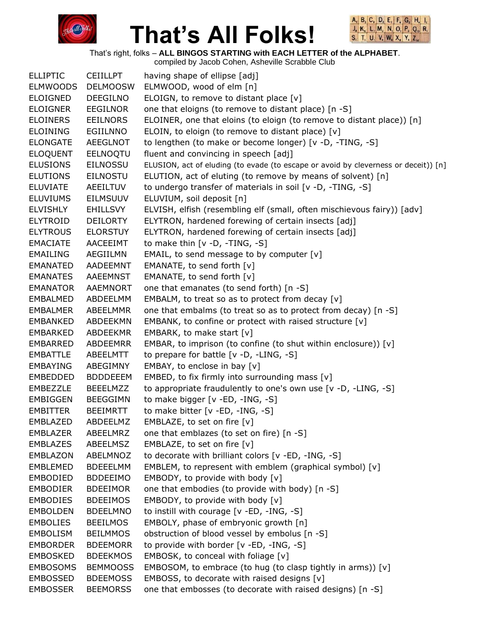



That's right, folks – **ALL BINGOS STARTING with EACH LETTER of the ALPHABET**.

| <b>ELLIPTIC</b> | <b>CEIILLPT</b> | having shape of ellipse [adj]                                                       |
|-----------------|-----------------|-------------------------------------------------------------------------------------|
| <b>ELMWOODS</b> | <b>DELMOOSW</b> | ELMWOOD, wood of elm [n]                                                            |
| <b>ELOIGNED</b> | <b>DEEGILNO</b> | ELOIGN, to remove to distant place [v]                                              |
| <b>ELOIGNER</b> | EEGILNOR        | one that eloigns (to remove to distant place) [n -S]                                |
| <b>ELOINERS</b> | <b>EEILNORS</b> | ELOINER, one that eloins (to eloign (to remove to distant place)) [n]               |
| <b>ELOINING</b> | EGIILNNO        | ELOIN, to eloign (to remove to distant place) [v]                                   |
| <b>ELONGATE</b> | AEEGLNOT        | to lengthen (to make or become longer) [v -D, -TING, -S]                            |
| <b>ELOQUENT</b> | EELNOQTU        | fluent and convincing in speech [adj]                                               |
| <b>ELUSIONS</b> | <b>EILNOSSU</b> | ELUSION, act of eluding (to evade (to escape or avoid by cleverness or deceit)) [n] |
| <b>ELUTIONS</b> | <b>EILNOSTU</b> | ELUTION, act of eluting (to remove by means of solvent) [n]                         |
| <b>ELUVIATE</b> | <b>AEEILTUV</b> | to undergo transfer of materials in soil [v -D, -TING, -S]                          |
| <b>ELUVIUMS</b> | <b>EILMSUUV</b> | ELUVIUM, soil deposit [n]                                                           |
| <b>ELVISHLY</b> | <b>EHILLSVY</b> | ELVISH, elfish (resembling elf (small, often mischievous fairy)) [adv]              |
| <b>ELYTROID</b> | <b>DEILORTY</b> | ELYTRON, hardened forewing of certain insects [adj]                                 |
| <b>ELYTROUS</b> | <b>ELORSTUY</b> | ELYTRON, hardened forewing of certain insects [adj]                                 |
| <b>EMACIATE</b> | AACEEIMT        | to make thin $[v -D, -TING, -S]$                                                    |
| <b>EMAILING</b> | AEGIILMN        | EMAIL, to send message to by computer $[v]$                                         |
| <b>EMANATED</b> | AADEEMNT        | EMANATE, to send forth [v]                                                          |
| <b>EMANATES</b> | AAEEMNST        | EMANATE, to send forth [v]                                                          |
| <b>EMANATOR</b> | <b>AAEMNORT</b> | one that emanates (to send forth) [n -S]                                            |
| EMBALMED        | ABDEELMM        | EMBALM, to treat so as to protect from decay [v]                                    |
| EMBALMER        | ABEELMMR        | one that embalms (to treat so as to protect from decay) [n -S]                      |
| <b>EMBANKED</b> | ABDEEKMN        | EMBANK, to confine or protect with raised structure [v]                             |
| <b>EMBARKED</b> | ABDEEKMR        | EMBARK, to make start [v]                                                           |
| EMBARRED        | ABDEEMRR        | EMBAR, to imprison (to confine (to shut within enclosure)) [v]                      |
| EMBATTLE        | ABEELMTT        | to prepare for battle [v -D, -LING, -S]                                             |
| EMBAYING        | ABEGIMNY        | EMBAY, to enclose in bay $[v]$                                                      |
| EMBEDDED        | <b>BDDDEEEM</b> | EMBED, to fix firmly into surrounding mass $[v]$                                    |
| EMBEZZLE        | <b>BEEELMZZ</b> | to appropriate fraudulently to one's own use [v -D, -LING, -S]                      |
| EMBIGGEN        | <b>BEEGGIMN</b> | to make bigger [v -ED, -ING, -S]                                                    |
| EMBITTER        | <b>BEEIMRTT</b> | to make bitter [v -ED, -ING, -S]                                                    |
| EMBLAZED        | ABDEELMZ        | EMBLAZE, to set on fire [v]                                                         |
| <b>EMBLAZER</b> | ABEELMRZ        | one that emblazes (to set on fire) [n -S]                                           |
| <b>EMBLAZES</b> | ABEELMSZ        | EMBLAZE, to set on fire [v]                                                         |
| <b>EMBLAZON</b> | ABELMNOZ        | to decorate with brilliant colors [v -ED, -ING, -S]                                 |
| <b>EMBLEMED</b> | <b>BDEEELMM</b> | EMBLEM, to represent with emblem (graphical symbol) [v]                             |
| <b>EMBODIED</b> | <b>BDDEEIMO</b> | EMBODY, to provide with body [v]                                                    |
| <b>EMBODIER</b> | <b>BDEEIMOR</b> | one that embodies (to provide with body) [n -S]                                     |
| <b>EMBODIES</b> | <b>BDEEIMOS</b> | EMBODY, to provide with body [v]                                                    |
| <b>EMBOLDEN</b> | <b>BDEELMNO</b> | to instill with courage [v -ED, -ING, -S]                                           |
| <b>EMBOLIES</b> | <b>BEEILMOS</b> | EMBOLY, phase of embryonic growth [n]                                               |
| <b>EMBOLISM</b> | <b>BEILMMOS</b> | obstruction of blood vessel by embolus [n -S]                                       |
| <b>EMBORDER</b> | <b>BDEEMORR</b> | to provide with border [v -ED, -ING, -S]                                            |
| <b>EMBOSKED</b> | <b>BDEEKMOS</b> | EMBOSK, to conceal with foliage $[v]$                                               |
| <b>EMBOSOMS</b> | <b>BEMMOOSS</b> | EMBOSOM, to embrace (to hug (to clasp tightly in arms)) [v]                         |
| <b>EMBOSSED</b> | <b>BDEEMOSS</b> | EMBOSS, to decorate with raised designs [v]                                         |
| <b>EMBOSSER</b> | <b>BEEMORSS</b> | one that embosses (to decorate with raised designs) [n -S]                          |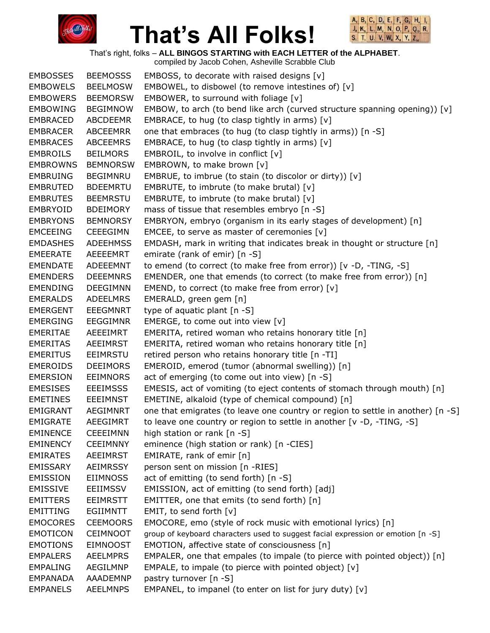



That's right, folks – **ALL BINGOS STARTING with EACH LETTER of the ALPHABET**.

| <b>EMBOSSES</b> | <b>BEEMOSSS</b> | EMBOSS, to decorate with raised designs $[v]$                                    |
|-----------------|-----------------|----------------------------------------------------------------------------------|
| <b>EMBOWELS</b> | <b>BEELMOSW</b> | EMBOWEL, to disbowel (to remove intestines of) [v]                               |
| <b>EMBOWERS</b> | <b>BEEMORSW</b> | EMBOWER, to surround with foliage $[v]$                                          |
| <b>EMBOWING</b> | <b>BEGIMNOW</b> | EMBOW, to arch (to bend like arch (curved structure spanning opening)) [v]       |
| <b>EMBRACED</b> | <b>ABCDEEMR</b> | EMBRACE, to hug (to clasp tightly in arms) $[v]$                                 |
| <b>EMBRACER</b> | ABCEEMRR        | one that embraces (to hug (to clasp tightly in arms)) [n -S]                     |
| <b>EMBRACES</b> | ABCEEMRS        | EMBRACE, to hug (to clasp tightly in arms) $[v]$                                 |
| <b>EMBROILS</b> | <b>BEILMORS</b> | EMBROIL, to involve in conflict $[v]$                                            |
| <b>EMBROWNS</b> | <b>BEMNORSW</b> | EMBROWN, to make brown [v]                                                       |
| <b>EMBRUING</b> | <b>BEGIMNRU</b> | EMBRUE, to imbrue (to stain (to discolor or dirty)) [v]                          |
| <b>EMBRUTED</b> | <b>BDEEMRTU</b> | EMBRUTE, to imbrute (to make brutal) [v]                                         |
| <b>EMBRUTES</b> | <b>BEEMRSTU</b> | EMBRUTE, to imbrute (to make brutal) [v]                                         |
| EMBRYOID        | <b>BDEIMORY</b> | mass of tissue that resembles embryo [n -S]                                      |
| <b>EMBRYONS</b> | <b>BEMNORSY</b> | EMBRYON, embryo (organism in its early stages of development) [n]                |
| <b>EMCEEING</b> | <b>CEEEGIMN</b> | EMCEE, to serve as master of ceremonies [v]                                      |
| <b>EMDASHES</b> | <b>ADEEHMSS</b> | EMDASH, mark in writing that indicates break in thought or structure [n]         |
| <b>EMEERATE</b> | AEEEEMRT        | emirate (rank of emir) [n -S]                                                    |
| <b>EMENDATE</b> | <b>ADEEEMNT</b> | to emend (to correct (to make free from error)) [v -D, -TING, -S]                |
| <b>EMENDERS</b> | <b>DEEEMNRS</b> | EMENDER, one that emends (to correct (to make free from error)) [n]              |
| <b>EMENDING</b> | <b>DEEGIMNN</b> | EMEND, to correct (to make free from error) [v]                                  |
| <b>EMERALDS</b> | <b>ADEELMRS</b> | EMERALD, green gem [n]                                                           |
| <b>EMERGENT</b> | <b>EEEGMNRT</b> | type of aquatic plant [n -S]                                                     |
| <b>EMERGING</b> | <b>EEGGIMNR</b> | EMERGE, to come out into view [v]                                                |
| <b>EMERITAE</b> | AEEEIMRT        | EMERITA, retired woman who retains honorary title [n]                            |
| <b>EMERITAS</b> | AEEIMRST        | EMERITA, retired woman who retains honorary title [n]                            |
| <b>EMERITUS</b> | EEIMRSTU        | retired person who retains honorary title [n -TI]                                |
| <b>EMEROIDS</b> | <b>DEEIMORS</b> | EMEROID, emerod (tumor (abnormal swelling)) [n]                                  |
| <b>EMERSION</b> | <b>EEIMNORS</b> | act of emerging (to come out into view) [n -S]                                   |
| <b>EMESISES</b> | <b>EEEIMSSS</b> | EMESIS, act of vomiting (to eject contents of stomach through mouth) [n]         |
| <b>EMETINES</b> | <b>EEEIMNST</b> | EMETINE, alkaloid (type of chemical compound) [n]                                |
| EMIGRANT        | <b>AEGIMNRT</b> | one that emigrates (to leave one country or region to settle in another) [n -S]  |
| <b>EMIGRATE</b> | <b>AEEGIMRT</b> | to leave one country or region to settle in another [v -D, -TING, -S]            |
| <b>EMINENCE</b> | <b>CEEEIMNN</b> | high station or rank [n -S]                                                      |
| <b>EMINENCY</b> | <b>CEEIMNNY</b> | eminence (high station or rank) [n -CIES]                                        |
| <b>EMIRATES</b> | AEEIMRST        | EMIRATE, rank of emir $[n]$                                                      |
| <b>EMISSARY</b> | <b>AEIMRSSY</b> | person sent on mission [n -RIES]                                                 |
| <b>EMISSION</b> | <b>EIIMNOSS</b> | act of emitting (to send forth) [n -S]                                           |
| <b>EMISSIVE</b> | <b>EEIIMSSV</b> | EMISSION, act of emitting (to send forth) [adj]                                  |
| <b>EMITTERS</b> | <b>EEIMRSTT</b> | EMITTER, one that emits (to send forth) [n]                                      |
| EMITTING        | <b>EGIIMNTT</b> | EMIT, to send forth [v]                                                          |
| <b>EMOCORES</b> | <b>CEEMOORS</b> | EMOCORE, emo (style of rock music with emotional lyrics) [n]                     |
| <b>EMOTICON</b> | <b>CEIMNOOT</b> | group of keyboard characters used to suggest facial expression or emotion [n -S] |
| <b>EMOTIONS</b> | <b>EIMNOOST</b> | EMOTION, affective state of consciousness [n]                                    |
| <b>EMPALERS</b> | <b>AEELMPRS</b> | EMPALER, one that empales (to impale (to pierce with pointed object)) [n]        |
| <b>EMPALING</b> | AEGILMNP        | EMPALE, to impale (to pierce with pointed object) [v]                            |
| <b>EMPANADA</b> | AAADEMNP        | pastry turnover [n -S]                                                           |
| <b>EMPANELS</b> | <b>AEELMNPS</b> | EMPANEL, to impanel (to enter on list for jury duty) [v]                         |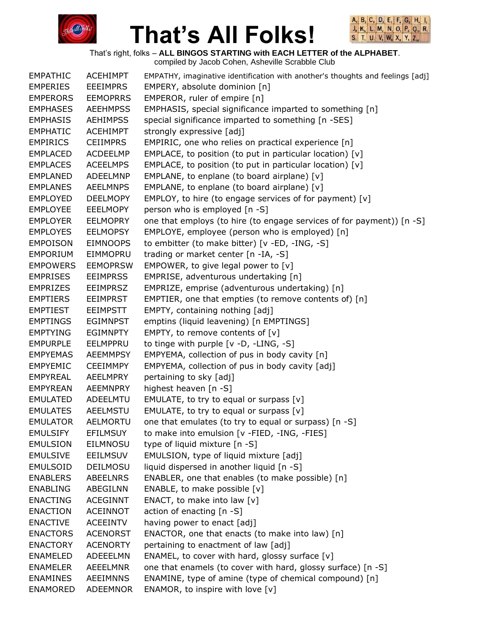



That's right, folks – **ALL BINGOS STARTING with EACH LETTER of the ALPHABET**. compiled by Jacob Cohen, Asheville Scrabble Club

EMPATHIC ACEHIMPT EMPATHY, imaginative identification with another's thoughts and feelings [adj] EMPERIES EEEIMPRS EMPERY, absolute dominion [n] EMPERORS EEMOPRRS EMPEROR, ruler of empire [n] EMPHASES AEEHMPSS EMPHASIS, special significance imparted to something [n] EMPHASIS AEHIMPSS special significance imparted to something [n -SES] EMPHATIC ACEHIMPT strongly expressive [adj] EMPIRICS CEIIMPRS EMPIRIC, one who relies on practical experience [n] EMPLACED ACDEELMP EMPLACE, to position (to put in particular location) [v] EMPLACES ACEELMPS EMPLACE, to position (to put in particular location) [v] EMPLANED ADEELMNP EMPLANE, to enplane (to board airplane) [v] EMPLANES AEELMNPS EMPLANE, to enplane (to board airplane) [v] EMPLOYED DEELMOPY EMPLOY, to hire (to engage services of for payment) [v] EMPLOYEE EEELMOPY person who is employed [n -S] EMPLOYER EELMOPRY one that employs (to hire (to engage services of for payment)) [n -S] EMPLOYES EELMOPSY EMPLOYE, employee (person who is employed) [n] EMPOISON EIMNOOPS to embitter (to make bitter) [v -ED, -ING, -S] EMPORIUM EIMMOPRU trading or market center [n -IA, -S] EMPOWERS EEMOPRSW EMPOWER, to give legal power to [v] EMPRISES EEIMPRSS EMPRISE, adventurous undertaking [n] EMPRIZES EEIMPRSZ EMPRIZE, emprise (adventurous undertaking) [n] EMPTIERS EEIMPRST EMPTIER, one that empties (to remove contents of) [n] EMPTIEST EEIMPSTT EMPTY, containing nothing [adj] EMPTINGS EGIMNPST emptins (liquid leavening) [n EMPTINGS] EMPTYING EGIMNPTY EMPTY, to remove contents of [v] EMPURPLE EELMPPRU to tinge with purple [v -D, -LING, -S] EMPYEMAS AEEMMPSY EMPYEMA, collection of pus in body cavity [n] EMPYEMIC CEEIMMPY EMPYEMA, collection of pus in body cavity [adj] EMPYREAL AEELMPRY pertaining to sky [adj] EMPYREAN AEEMNPRY highest heaven [n -S] EMULATED ADEELMTU EMULATE, to try to equal or surpass [v] EMULATES AEELMSTU EMULATE, to try to equal or surpass [v] EMULATOR AELMORTU one that emulates (to try to equal or surpass) [n -S] EMULSIFY EFILMSUY to make into emulsion [v -FIED, -ING, -FIES] EMULSION EILMNOSU type of liquid mixture [n -S] EMULSIVE EEILMSUV EMULSION, type of liquid mixture [adj] EMULSOID DEILMOSU liquid dispersed in another liquid [n -S] ENABLERS ABEELNRS ENABLER, one that enables (to make possible) [n] ENABLING ABEGILNN ENABLE, to make possible [v] ENACTING ACEGINNT ENACT, to make into law [v] ENACTION ACEINNOT action of enacting [n -S] ENACTIVE ACEEINTV having power to enact [adj] ENACTORS ACENORST ENACTOR, one that enacts (to make into law) [n] ENACTORY ACENORTY pertaining to enactment of law [adj] ENAMELED ADEEELMN ENAMEL, to cover with hard, glossy surface [v] ENAMELER AEEELMNR one that enamels (to cover with hard, glossy surface) [n -S] ENAMINES AEEIMNNS ENAMINE, type of amine (type of chemical compound) [n] ENAMORED ADEEMNOR ENAMOR, to inspire with love [v]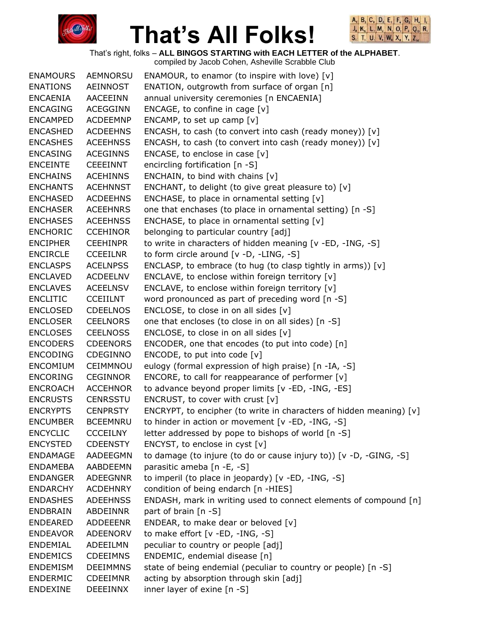



That's right, folks – **ALL BINGOS STARTING with EACH LETTER of the ALPHABET**.

| <b>ENAMOURS</b> | <b>AEMNORSU</b> | ENAMOUR, to enamor (to inspire with love) $[v]$                     |
|-----------------|-----------------|---------------------------------------------------------------------|
| <b>ENATIONS</b> | AEINNOST        | ENATION, outgrowth from surface of organ [n]                        |
| ENCAENIA        | AACEEINN        | annual university ceremonies [n ENCAENIA]                           |
| <b>ENCAGING</b> | <b>ACEGGINN</b> | ENCAGE, to confine in cage $[v]$                                    |
| <b>ENCAMPED</b> | <b>ACDEEMNP</b> | ENCAMP, to set up camp [v]                                          |
| <b>ENCASHED</b> | <b>ACDEEHNS</b> | ENCASH, to cash (to convert into cash (ready money)) [v]            |
| <b>ENCASHES</b> | <b>ACEEHNSS</b> | ENCASH, to cash (to convert into cash (ready money)) [v]            |
| <b>ENCASING</b> | <b>ACEGINNS</b> | ENCASE, to enclose in case [v]                                      |
| <b>ENCEINTE</b> | <b>CEEEINNT</b> | encircling fortification [n -S]                                     |
| <b>ENCHAINS</b> | <b>ACEHINNS</b> | ENCHAIN, to bind with chains [v]                                    |
| <b>ENCHANTS</b> | <b>ACEHNNST</b> | ENCHANT, to delight (to give great pleasure to) [v]                 |
| <b>ENCHASED</b> | <b>ACDEEHNS</b> | ENCHASE, to place in ornamental setting [v]                         |
| <b>ENCHASER</b> | <b>ACEEHNRS</b> | one that enchases (to place in ornamental setting) [n -S]           |
| <b>ENCHASES</b> | <b>ACEEHNSS</b> | ENCHASE, to place in ornamental setting $[v]$                       |
| <b>ENCHORIC</b> | <b>CCEHINOR</b> | belonging to particular country [adj]                               |
| <b>ENCIPHER</b> | <b>CEEHINPR</b> | to write in characters of hidden meaning [v -ED, -ING, -S]          |
| <b>ENCIRCLE</b> | <b>CCEEILNR</b> | to form circle around $[v -D, -LING, -S]$                           |
| <b>ENCLASPS</b> | <b>ACELNPSS</b> | ENCLASP, to embrace (to hug (to clasp tightly in arms)) $[v]$       |
| <b>ENCLAVED</b> | <b>ACDEELNV</b> | ENCLAVE, to enclose within foreign territory [v]                    |
| <b>ENCLAVES</b> | <b>ACEELNSV</b> | ENCLAVE, to enclose within foreign territory [v]                    |
| <b>ENCLITIC</b> | <b>CCEIILNT</b> | word pronounced as part of preceding word [n -S]                    |
| <b>ENCLOSED</b> | <b>CDEELNOS</b> | ENCLOSE, to close in on all sides $[v]$                             |
| <b>ENCLOSER</b> | <b>CEELNORS</b> | one that encloses (to close in on all sides) [n -S]                 |
| <b>ENCLOSES</b> | <b>CEELNOSS</b> | ENCLOSE, to close in on all sides $[v]$                             |
| <b>ENCODERS</b> | <b>CDEENORS</b> | ENCODER, one that encodes (to put into code) [n]                    |
| <b>ENCODING</b> | <b>CDEGINNO</b> | ENCODE, to put into code [v]                                        |
| <b>ENCOMIUM</b> | CEIMMNOU        | eulogy (formal expression of high praise) [n -IA, -S]               |
| <b>ENCORING</b> | <b>CEGINNOR</b> | ENCORE, to call for reappearance of performer [v]                   |
| <b>ENCROACH</b> | <b>ACCEHNOR</b> | to advance beyond proper limits [v -ED, -ING, -ES]                  |
| <b>ENCRUSTS</b> | <b>CENRSSTU</b> | ENCRUST, to cover with crust $[v]$                                  |
| <b>ENCRYPTS</b> | <b>CENPRSTY</b> | ENCRYPT, to encipher (to write in characters of hidden meaning) [v] |
| <b>ENCUMBER</b> | <b>BCEEMNRU</b> | to hinder in action or movement [v -ED, -ING, -S]                   |
| <b>ENCYCLIC</b> | <b>CCCEILNY</b> | letter addressed by pope to bishops of world [n -S]                 |
| <b>ENCYSTED</b> | <b>CDEENSTY</b> | ENCYST, to enclose in cyst [v]                                      |
| <b>ENDAMAGE</b> | AADEEGMN        | to damage (to injure (to do or cause injury to)) [v -D, -GING, -S]  |
| <b>ENDAMEBA</b> | AABDEEMN        | parasitic ameba [n -E, -S]                                          |
| <b>ENDANGER</b> | <b>ADEEGNNR</b> | to imperil (to place in jeopardy) [v -ED, -ING, -S]                 |
| <b>ENDARCHY</b> | <b>ACDEHNRY</b> | condition of being endarch [n -HIES]                                |
| <b>ENDASHES</b> | <b>ADEEHNSS</b> | ENDASH, mark in writing used to connect elements of compound [n]    |
| <b>ENDBRAIN</b> | <b>ABDEINNR</b> | part of brain [n -S]                                                |
| <b>ENDEARED</b> | <b>ADDEEENR</b> | ENDEAR, to make dear or beloved [v]                                 |
| <b>ENDEAVOR</b> | ADEENORV        | to make effort [v -ED, -ING, -S]                                    |
| ENDEMIAL        | ADEEILMN        | peculiar to country or people [adj]                                 |
| <b>ENDEMICS</b> | <b>CDEEIMNS</b> | ENDEMIC, endemial disease [n]                                       |
| <b>ENDEMISM</b> | <b>DEEIMMNS</b> | state of being endemial (peculiar to country or people) [n -S]      |
| <b>ENDERMIC</b> | <b>CDEEIMNR</b> | acting by absorption through skin [adj]                             |
| <b>ENDEXINE</b> | <b>DEEEINNX</b> | inner layer of exine [n -S]                                         |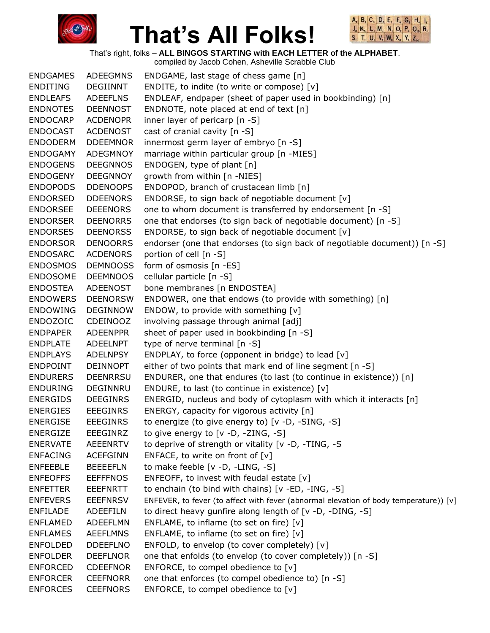



That's right, folks – **ALL BINGOS STARTING with EACH LETTER of the ALPHABET**.

| <b>ENDGAMES</b> | <b>ADEEGMNS</b> | ENDGAME, last stage of chess game [n]                                                 |
|-----------------|-----------------|---------------------------------------------------------------------------------------|
| <b>ENDITING</b> | <b>DEGIINNT</b> | ENDITE, to indite (to write or compose) [v]                                           |
| <b>ENDLEAFS</b> | <b>ADEEFLNS</b> | ENDLEAF, endpaper (sheet of paper used in bookbinding) [n]                            |
| <b>ENDNOTES</b> | <b>DEENNOST</b> | ENDNOTE, note placed at end of text [n]                                               |
| <b>ENDOCARP</b> | <b>ACDENOPR</b> | inner layer of pericarp [n -S]                                                        |
| <b>ENDOCAST</b> | <b>ACDENOST</b> | cast of cranial cavity [n -S]                                                         |
| <b>ENDODERM</b> | <b>DDEEMNOR</b> | innermost germ layer of embryo [n -S]                                                 |
| <b>ENDOGAMY</b> | ADEGMNOY        | marriage within particular group [n -MIES]                                            |
| <b>ENDOGENS</b> | <b>DEEGNNOS</b> | ENDOGEN, type of plant [n]                                                            |
| <b>ENDOGENY</b> | <b>DEEGNNOY</b> | growth from within [n -NIES]                                                          |
| <b>ENDOPODS</b> | <b>DDENOOPS</b> | ENDOPOD, branch of crustacean limb [n]                                                |
| <b>ENDORSED</b> | <b>DDEENORS</b> | ENDORSE, to sign back of negotiable document [v]                                      |
| <b>ENDORSEE</b> | <b>DEEENORS</b> | one to whom document is transferred by endorsement [n -S]                             |
| <b>ENDORSER</b> | <b>DEENORRS</b> | one that endorses (to sign back of negotiable document) [n -S]                        |
| <b>ENDORSES</b> | <b>DEENORSS</b> | ENDORSE, to sign back of negotiable document [v]                                      |
| <b>ENDORSOR</b> | <b>DENOORRS</b> | endorser (one that endorses (to sign back of negotiable document)) [n -S]             |
| <b>ENDOSARC</b> | <b>ACDENORS</b> | portion of cell [n -S]                                                                |
| <b>ENDOSMOS</b> | <b>DEMNOOSS</b> | form of osmosis [n -ES]                                                               |
| <b>ENDOSOME</b> | <b>DEEMNOOS</b> | cellular particle [n -S]                                                              |
| <b>ENDOSTEA</b> | ADEENOST        | bone membranes [n ENDOSTEA]                                                           |
| <b>ENDOWERS</b> | <b>DEENORSW</b> | ENDOWER, one that endows (to provide with something) [n]                              |
| <b>ENDOWING</b> | <b>DEGINNOW</b> | ENDOW, to provide with something $[v]$                                                |
| <b>ENDOZOIC</b> | CDEINOOZ        | involving passage through animal [adj]                                                |
| <b>ENDPAPER</b> | <b>ADEENPPR</b> | sheet of paper used in bookbinding [n -S]                                             |
| <b>ENDPLATE</b> | <b>ADEELNPT</b> | type of nerve terminal [n -S]                                                         |
| <b>ENDPLAYS</b> | <b>ADELNPSY</b> | ENDPLAY, to force (opponent in bridge) to lead [v]                                    |
| <b>ENDPOINT</b> | <b>DEINNOPT</b> | either of two points that mark end of line segment [n -S]                             |
| <b>ENDURERS</b> | <b>DEENRRSU</b> | ENDURER, one that endures (to last (to continue in existence)) [n]                    |
| <b>ENDURING</b> | DEGINNRU        | ENDURE, to last (to continue in existence) [v]                                        |
| <b>ENERGIDS</b> | <b>DEEGINRS</b> | ENERGID, nucleus and body of cytoplasm with which it interacts [n]                    |
| <b>ENERGIES</b> | <b>EEEGINRS</b> | ENERGY, capacity for vigorous activity [n]                                            |
| <b>ENERGISE</b> | <b>EEEGINRS</b> | to energize (to give energy to) [v -D, -SING, -S]                                     |
| <b>ENERGIZE</b> | <b>EEEGINRZ</b> | to give energy to $[v -D, -ZING, -S]$                                                 |
| <b>ENERVATE</b> | <b>AEEENRTV</b> | to deprive of strength or vitality [v -D, -TING, -S                                   |
| <b>ENFACING</b> | <b>ACEFGINN</b> | ENFACE, to write on front of $[v]$                                                    |
| <b>ENFEEBLE</b> | <b>BEEEEFLN</b> | to make feeble [v -D, -LING, -S]                                                      |
| <b>ENFEOFFS</b> | <b>EEFFFNOS</b> | ENFEOFF, to invest with feudal estate [v]                                             |
| <b>ENFETTER</b> | EEEFNRTT        | to enchain (to bind with chains) [v -ED, -ING, -S]                                    |
| <b>ENFEVERS</b> | <b>EEEFNRSV</b> | ENFEVER, to fever (to affect with fever (abnormal elevation of body temperature)) [v] |
| <b>ENFILADE</b> | ADEEFILN        | to direct heavy gunfire along length of [v -D, -DING, -S]                             |
| <b>ENFLAMED</b> | <b>ADEEFLMN</b> | ENFLAME, to inflame (to set on fire) [v]                                              |
| <b>ENFLAMES</b> | <b>AEEFLMNS</b> | ENFLAME, to inflame (to set on fire) [v]                                              |
| <b>ENFOLDED</b> | <b>DDEEFLNO</b> | ENFOLD, to envelop (to cover completely) [v]                                          |
| <b>ENFOLDER</b> | <b>DEEFLNOR</b> | one that enfolds (to envelop (to cover completely)) [n -S]                            |
| <b>ENFORCED</b> | <b>CDEEFNOR</b> | ENFORCE, to compel obedience to [v]                                                   |
| <b>ENFORCER</b> | <b>CEEFNORR</b> | one that enforces (to compel obedience to) [n -S]                                     |
| <b>ENFORCES</b> | <b>CEEFNORS</b> | ENFORCE, to compel obedience to [v]                                                   |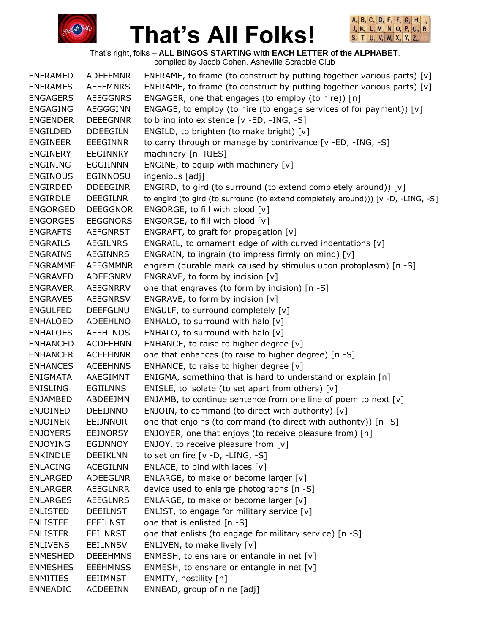



That's right, folks – **ALL BINGOS STARTING with EACH LETTER of the ALPHABET**.

| <b>ENFRAMED</b> | <b>ADEEFMNR</b> | ENFRAME, to frame (to construct by putting together various parts) [v]            |
|-----------------|-----------------|-----------------------------------------------------------------------------------|
| <b>ENFRAMES</b> | <b>AEEFMNRS</b> | ENFRAME, to frame (to construct by putting together various parts) [v]            |
| <b>ENGAGERS</b> | <b>AEEGGNRS</b> | ENGAGER, one that engages (to employ (to hire)) [n]                               |
| <b>ENGAGING</b> | AEGGGINN        | ENGAGE, to employ (to hire (to engage services of for payment)) [v]               |
| <b>ENGENDER</b> | <b>DEEEGNNR</b> | to bring into existence [v -ED, -ING, -S]                                         |
| ENGILDED        | <b>DDEEGILN</b> | ENGILD, to brighten (to make bright) [v]                                          |
| ENGINEER        | <b>EEEGINNR</b> | to carry through or manage by contrivance [v -ED, -ING, -S]                       |
| ENGINERY        | EEGINNRY        | machinery [n -RIES]                                                               |
| <b>ENGINING</b> | EGGIINNN        | ENGINE, to equip with machinery [v]                                               |
| <b>ENGINOUS</b> | EGINNOSU        | ingenious [adj]                                                                   |
| <b>ENGIRDED</b> | <b>DDEEGINR</b> | ENGIRD, to gird (to surround (to extend completely around)) [v]                   |
| <b>ENGIRDLE</b> | <b>DEEGILNR</b> | to engird (to gird (to surround (to extend completely around))) [v -D, -LING, -S] |
| <b>ENGORGED</b> | <b>DEEGGNOR</b> | ENGORGE, to fill with blood [v]                                                   |
| <b>ENGORGES</b> | <b>EEGGNORS</b> | ENGORGE, to fill with blood [v]                                                   |
| <b>ENGRAFTS</b> | <b>AEFGNRST</b> | ENGRAFT, to graft for propagation [v]                                             |
| <b>ENGRAILS</b> | AEGILNRS        | ENGRAIL, to ornament edge of with curved indentations [v]                         |
| <b>ENGRAINS</b> | <b>AEGINNRS</b> | ENGRAIN, to ingrain (to impress firmly on mind) [v]                               |
| <b>ENGRAMME</b> | <b>AEEGMMNR</b> | engram (durable mark caused by stimulus upon protoplasm) [n -S]                   |
| <b>ENGRAVED</b> | ADEEGNRV        | ENGRAVE, to form by incision [v]                                                  |
| <b>ENGRAVER</b> | <b>AEEGNRRV</b> | one that engraves (to form by incision) [n -S]                                    |
| <b>ENGRAVES</b> | <b>AEEGNRSV</b> | ENGRAVE, to form by incision [v]                                                  |
| <b>ENGULFED</b> | <b>DEEFGLNU</b> | ENGULF, to surround completely [v]                                                |
| <b>ENHALOED</b> | <b>ADEEHLNO</b> | ENHALO, to surround with halo [v]                                                 |
| <b>ENHALOES</b> | <b>AEEHLNOS</b> | ENHALO, to surround with halo [v]                                                 |
| <b>ENHANCED</b> | <b>ACDEEHNN</b> | ENHANCE, to raise to higher degree [v]                                            |
| <b>ENHANCER</b> | <b>ACEEHNNR</b> | one that enhances (to raise to higher degree) [n -S]                              |
| <b>ENHANCES</b> | <b>ACEEHNNS</b> | ENHANCE, to raise to higher degree [v]                                            |
| ENIGMATA        | AAEGIMNT        | ENIGMA, something that is hard to understand or explain [n]                       |
| <b>ENISLING</b> | <b>EGIILNNS</b> | ENISLE, to isolate (to set apart from others) [v]                                 |
| <b>ENJAMBED</b> | ABDEEJMN        | ENJAMB, to continue sentence from one line of poem to next [v]                    |
| <b>ENJOINED</b> | DEEIJNNO        | ENJOIN, to command (to direct with authority) [v]                                 |
| <b>ENJOINER</b> | <b>EEIJNNOR</b> | one that enjoins (to command (to direct with authority)) [n -S]                   |
| <b>ENJOYERS</b> | <b>EEJNORSY</b> | ENJOYER, one that enjoys (to receive pleasure from) [n]                           |
| <b>ENJOYING</b> | EGIJNNOY        | ENJOY, to receive pleasure from $[v]$                                             |
| <b>ENKINDLE</b> | <b>DEEIKLNN</b> | to set on fire [v -D, -LING, -S]                                                  |
| <b>ENLACING</b> | <b>ACEGILNN</b> | ENLACE, to bind with laces $[v]$                                                  |
| <b>ENLARGED</b> | ADEEGLNR        | ENLARGE, to make or become larger [v]                                             |
| <b>ENLARGER</b> | <b>AEEGLNRR</b> | device used to enlarge photographs [n -S]                                         |
| <b>ENLARGES</b> | <b>AEEGLNRS</b> | ENLARGE, to make or become larger [v]                                             |
| <b>ENLISTED</b> | <b>DEEILNST</b> | ENLIST, to engage for military service [v]                                        |
| <b>ENLISTEE</b> | <b>EEEILNST</b> | one that is enlisted [n -S]                                                       |
| <b>ENLISTER</b> | <b>EEILNRST</b> | one that enlists (to engage for military service) [n -S]                          |
| <b>ENLIVENS</b> | <b>EEILNNSV</b> | ENLIVEN, to make lively [v]                                                       |
| <b>ENMESHED</b> | <b>DEEEHMNS</b> | ENMESH, to ensnare or entangle in net $[v]$                                       |
| <b>ENMESHES</b> | <b>EEEHMNSS</b> | ENMESH, to ensnare or entangle in net $[v]$                                       |
| <b>ENMITIES</b> | <b>EEIIMNST</b> | ENMITY, hostility [n]                                                             |
| <b>ENNEADIC</b> | <b>ACDEEINN</b> | ENNEAD, group of nine [adj]                                                       |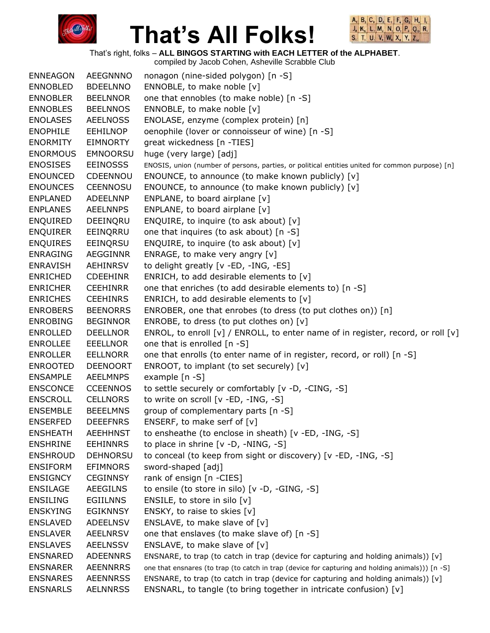



That's right, folks – **ALL BINGOS STARTING with EACH LETTER of the ALPHABET**.

| <b>ENNEAGON</b> | <b>AEEGNNNO</b> | nonagon (nine-sided polygon) [n -S]                                                              |
|-----------------|-----------------|--------------------------------------------------------------------------------------------------|
| <b>ENNOBLED</b> | <b>BDEELNNO</b> | ENNOBLE, to make noble [v]                                                                       |
| <b>ENNOBLER</b> | <b>BEELNNOR</b> | one that ennobles (to make noble) [n -S]                                                         |
| <b>ENNOBLES</b> | <b>BEELNNOS</b> | ENNOBLE, to make noble [v]                                                                       |
| <b>ENOLASES</b> | <b>AEELNOSS</b> | ENOLASE, enzyme (complex protein) [n]                                                            |
| <b>ENOPHILE</b> | <b>EEHILNOP</b> | oenophile (lover or connoisseur of wine) [n -S]                                                  |
| <b>ENORMITY</b> | <b>EIMNORTY</b> | great wickedness [n -TIES]                                                                       |
| <b>ENORMOUS</b> | <b>EMNOORSU</b> | huge (very large) [adj]                                                                          |
| <b>ENOSISES</b> | <b>EEINOSSS</b> | ENOSIS, union (number of persons, parties, or political entities united for common purpose) [n]  |
| <b>ENOUNCED</b> | CDEENNOU        | ENOUNCE, to announce (to make known publicly) [v]                                                |
| <b>ENOUNCES</b> | <b>CEENNOSU</b> | ENOUNCE, to announce (to make known publicly) [v]                                                |
| <b>ENPLANED</b> | ADEELNNP        | ENPLANE, to board airplane $[v]$                                                                 |
| <b>ENPLANES</b> | <b>AEELNNPS</b> | ENPLANE, to board airplane [v]                                                                   |
| <b>ENQUIRED</b> | DEEINQRU        | ENQUIRE, to inquire (to ask about) [v]                                                           |
| <b>ENQUIRER</b> | EEINQRRU        | one that inquires (to ask about) [n -S]                                                          |
| <b>ENQUIRES</b> | EEINQRSU        | ENQUIRE, to inquire (to ask about) [v]                                                           |
| <b>ENRAGING</b> | AEGGINNR        | ENRAGE, to make very angry [v]                                                                   |
| <b>ENRAVISH</b> | <b>AEHINRSV</b> | to delight greatly [v -ED, -ING, -ES]                                                            |
| <b>ENRICHED</b> | <b>CDEEHINR</b> | ENRICH, to add desirable elements to [v]                                                         |
| <b>ENRICHER</b> | <b>CEEHINRR</b> | one that enriches (to add desirable elements to) [n -S]                                          |
| <b>ENRICHES</b> | <b>CEEHINRS</b> | ENRICH, to add desirable elements to [v]                                                         |
| <b>ENROBERS</b> | <b>BEENORRS</b> | ENROBER, one that enrobes (to dress (to put clothes on)) [n]                                     |
| <b>ENROBING</b> | <b>BEGINNOR</b> | ENROBE, to dress (to put clothes on) $[v]$                                                       |
| <b>ENROLLED</b> | <b>DEELLNOR</b> | ENROL, to enroll [v] / ENROLL, to enter name of in register, record, or roll [v]                 |
| <b>ENROLLEE</b> | <b>EEELLNOR</b> | one that is enrolled [n -S]                                                                      |
| <b>ENROLLER</b> | <b>EELLNORR</b> | one that enrolls (to enter name of in register, record, or roll) [n -S]                          |
| <b>ENROOTED</b> | <b>DEENOORT</b> | ENROOT, to implant (to set securely) [v]                                                         |
| <b>ENSAMPLE</b> | <b>AEELMNPS</b> | example $[n -S]$                                                                                 |
| <b>ENSCONCE</b> | <b>CCEENNOS</b> | to settle securely or comfortably [v -D, -CING, -S]                                              |
| <b>ENSCROLL</b> | <b>CELLNORS</b> | to write on scroll [v -ED, -ING, -S]                                                             |
| <b>ENSEMBLE</b> | <b>BEEELMNS</b> | group of complementary parts [n -S]                                                              |
| <b>ENSERFED</b> | <b>DEEEFNRS</b> | ENSERF, to make serf of $[v]$                                                                    |
| <b>ENSHEATH</b> | <b>AEEHHNST</b> | to ensheathe (to enclose in sheath) [v -ED, -ING, -S]                                            |
| <b>ENSHRINE</b> | <b>EEHINNRS</b> | to place in shrine $[v -D, -NING, -S]$                                                           |
| <b>ENSHROUD</b> | <b>DEHNORSU</b> | to conceal (to keep from sight or discovery) [v -ED, -ING, -S]                                   |
| <b>ENSIFORM</b> | <b>EFIMNORS</b> | sword-shaped [adj]                                                                               |
| <b>ENSIGNCY</b> | <b>CEGINNSY</b> | rank of ensign [n -CIES]                                                                         |
| <b>ENSILAGE</b> | <b>AEEGILNS</b> | to ensile (to store in silo) [v -D, -GING, -S]                                                   |
| <b>ENSILING</b> | <b>EGIILNNS</b> | ENSILE, to store in silo $[v]$                                                                   |
| <b>ENSKYING</b> | <b>EGIKNNSY</b> | ENSKY, to raise to skies [v]                                                                     |
| <b>ENSLAVED</b> | <b>ADEELNSV</b> | ENSLAVE, to make slave of $[v]$                                                                  |
| <b>ENSLAVER</b> | <b>AEELNRSV</b> | one that enslaves (to make slave of) [n -S]                                                      |
| <b>ENSLAVES</b> | <b>AEELNSSV</b> | ENSLAVE, to make slave of [v]                                                                    |
| <b>ENSNARED</b> | <b>ADEENNRS</b> | ENSNARE, to trap (to catch in trap (device for capturing and holding animals)) [v]               |
| <b>ENSNARER</b> | <b>AEENNRRS</b> | one that ensnares (to trap (to catch in trap (device for capturing and holding animals))) [n -S] |
| <b>ENSNARES</b> | <b>AEENNRSS</b> | ENSNARE, to trap (to catch in trap (device for capturing and holding animals)) [v]               |
| <b>ENSNARLS</b> | <b>AELNNRSS</b> | ENSNARL, to tangle (to bring together in intricate confusion) [v]                                |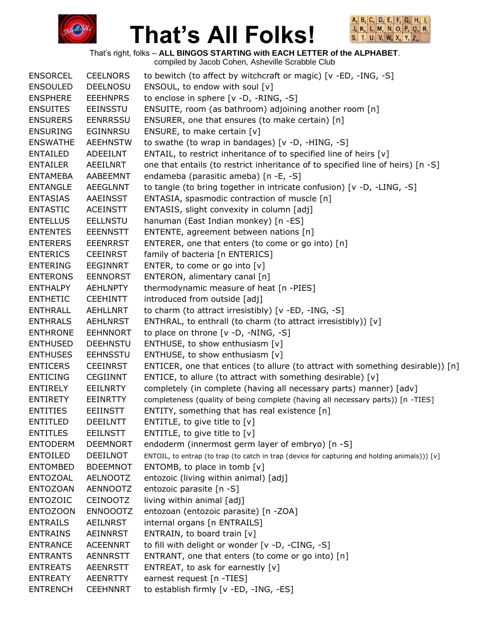



That's right, folks – **ALL BINGOS STARTING with EACH LETTER of the ALPHABET**.

| <b>ENSORCEL</b> | <b>CEELNORS</b> | to bewitch (to affect by witchcraft or magic) [v -ED, -ING, -S]                               |
|-----------------|-----------------|-----------------------------------------------------------------------------------------------|
| <b>ENSOULED</b> | <b>DEELNOSU</b> | ENSOUL, to endow with soul [v]                                                                |
| <b>ENSPHERE</b> | <b>EEEHNPRS</b> | to enclose in sphere [v -D, -RING, -S]                                                        |
| <b>ENSUITES</b> | <b>EEINSSTU</b> | ENSUITE, room (as bathroom) adjoining another room [n]                                        |
| <b>ENSURERS</b> | <b>EENRRSSU</b> | ENSURER, one that ensures (to make certain) [n]                                               |
| <b>ENSURING</b> | <b>EGINNRSU</b> | ENSURE, to make certain [v]                                                                   |
| <b>ENSWATHE</b> | <b>AEEHNSTW</b> | to swathe (to wrap in bandages) [v -D, -HING, -S]                                             |
| <b>ENTAILED</b> | ADEEILNT        | ENTAIL, to restrict inheritance of to specified line of heirs [v]                             |
| <b>ENTAILER</b> | <b>AEEILNRT</b> | one that entails (to restrict inheritance of to specified line of heirs) [n -S]               |
| <b>ENTAMEBA</b> | AABEEMNT        | endameba (parasitic ameba) [n -E, -S]                                                         |
| <b>ENTANGLE</b> | <b>AEEGLNNT</b> | to tangle (to bring together in intricate confusion) [v -D, -LING, -S]                        |
| <b>ENTASIAS</b> | <b>AAEINSST</b> | ENTASIA, spasmodic contraction of muscle [n]                                                  |
| <b>ENTASTIC</b> | <b>ACEINSTT</b> | ENTASIS, slight convexity in column [adj]                                                     |
| <b>ENTELLUS</b> | <b>EELLNSTU</b> | hanuman (East Indian monkey) [n -ES]                                                          |
| <b>ENTENTES</b> | <b>EEENNSTT</b> | ENTENTE, agreement between nations [n]                                                        |
| <b>ENTERERS</b> | <b>EEENRRST</b> | ENTERER, one that enters (to come or go into) [n]                                             |
| <b>ENTERICS</b> | <b>CEEINRST</b> | family of bacteria [n ENTERICS]                                                               |
| <b>ENTERING</b> | <b>EEGINNRT</b> | ENTER, to come or go into [v]                                                                 |
| <b>ENTERONS</b> | <b>EENNORST</b> | ENTERON, alimentary canal [n]                                                                 |
| <b>ENTHALPY</b> | <b>AEHLNPTY</b> | thermodynamic measure of heat [n -PIES]                                                       |
| <b>ENTHETIC</b> | <b>CEEHINTT</b> | introduced from outside [adj]                                                                 |
| <b>ENTHRALL</b> | <b>AEHLLNRT</b> | to charm (to attract irresistibly) [v -ED, -ING, -S]                                          |
| <b>ENTHRALS</b> | <b>AEHLNRST</b> | ENTHRAL, to enthrall (to charm (to attract irresistibly)) [v]                                 |
| <b>ENTHRONE</b> | <b>EEHNNORT</b> | to place on throne [v -D, -NING, -S]                                                          |
| <b>ENTHUSED</b> | <b>DEEHNSTU</b> | ENTHUSE, to show enthusiasm [v]                                                               |
| <b>ENTHUSES</b> | <b>EEHNSSTU</b> | ENTHUSE, to show enthusiasm [v]                                                               |
| <b>ENTICERS</b> | <b>CEEINRST</b> | ENTICER, one that entices (to allure (to attract with something desirable)) [n]               |
| <b>ENTICING</b> | <b>CEGIINNT</b> | ENTICE, to allure (to attract with something desirable) [v]                                   |
| <b>ENTIRELY</b> | <b>EEILNRTY</b> | completely (in complete (having all necessary parts) manner) [adv]                            |
| <b>ENTIRETY</b> | <b>EEINRTTY</b> | completeness (quality of being complete (having all necessary parts)) [n -TIES]               |
| <b>ENTITIES</b> | <b>EEIINSTT</b> | ENTITY, something that has real existence [n]                                                 |
| <b>ENTITLED</b> | <b>DEEILNTT</b> | ENTITLE, to give title to $[v]$                                                               |
| <b>ENTITLES</b> | <b>EEILNSTT</b> | ENTITLE, to give title to $[v]$                                                               |
| <b>ENTODERM</b> | <b>DEEMNORT</b> | endoderm (innermost germ layer of embryo) [n -S]                                              |
| <b>ENTOILED</b> | DEEILNOT        | ENTOIL, to entrap (to trap (to catch in trap (device for capturing and holding animals))) [v] |
| <b>ENTOMBED</b> | <b>BDEEMNOT</b> | ENTOMB, to place in tomb $[v]$                                                                |
| ENTOZOAL        | <b>AELNOOTZ</b> | entozoic (living within animal) [adj]                                                         |
| <b>ENTOZOAN</b> | <b>AENNOOTZ</b> | entozoic parasite [n -S]                                                                      |
| <b>ENTOZOIC</b> | <b>CEINOOTZ</b> | living within animal [adj]                                                                    |
| <b>ENTOZOON</b> | <b>ENNOOOTZ</b> | entozoan (entozoic parasite) [n -ZOA]                                                         |
| <b>ENTRAILS</b> | AEILNRST        | internal organs [n ENTRAILS]                                                                  |
| <b>ENTRAINS</b> | <b>AEINNRST</b> | ENTRAIN, to board train [v]                                                                   |
| <b>ENTRANCE</b> | <b>ACEENNRT</b> | to fill with delight or wonder [v -D, -CING, -S]                                              |
| <b>ENTRANTS</b> | <b>AENNRSTT</b> | ENTRANT, one that enters (to come or go into) [n]                                             |
| <b>ENTREATS</b> | <b>AEENRSTT</b> | ENTREAT, to ask for earnestly $[v]$                                                           |
| <b>ENTREATY</b> | <b>AEENRTTY</b> | earnest request [n -TIES]                                                                     |
| <b>ENTRENCH</b> | <b>CEEHNNRT</b> | to establish firmly [v -ED, -ING, -ES]                                                        |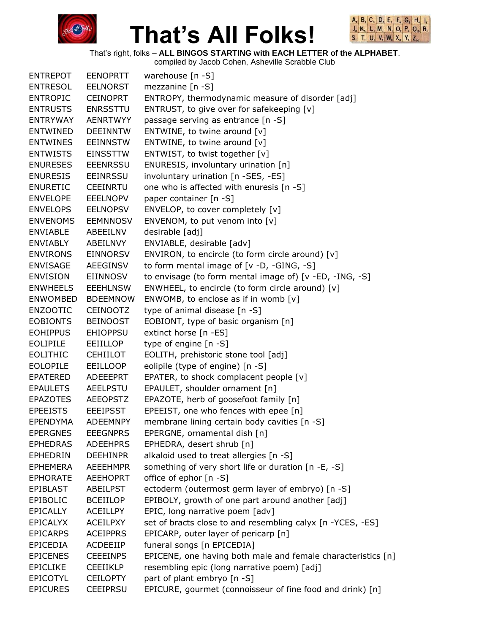



That's right, folks – **ALL BINGOS STARTING with EACH LETTER of the ALPHABET**.

| <b>ENTREPOT</b> | <b>EENOPRTT</b> | warehouse [n -S]                                             |
|-----------------|-----------------|--------------------------------------------------------------|
| <b>ENTRESOL</b> | <b>EELNORST</b> | mezzanine $[n - S]$                                          |
| <b>ENTROPIC</b> | <b>CEINOPRT</b> | ENTROPY, thermodynamic measure of disorder [adj]             |
| <b>ENTRUSTS</b> | <b>ENRSSTTU</b> | ENTRUST, to give over for safekeeping [v]                    |
| <b>ENTRYWAY</b> | <b>AENRTWYY</b> | passage serving as entrance [n -S]                           |
| <b>ENTWINED</b> | <b>DEEINNTW</b> | ENTWINE, to twine around $[v]$                               |
| <b>ENTWINES</b> | <b>EEINNSTW</b> | ENTWINE, to twine around $[v]$                               |
| <b>ENTWISTS</b> | <b>EINSSTTW</b> | ENTWIST, to twist together [v]                               |
| <b>ENURESES</b> | <b>EEENRSSU</b> | ENURESIS, involuntary urination [n]                          |
| <b>ENURESIS</b> | <b>EEINRSSU</b> | involuntary urination [n -SES, -ES]                          |
| <b>ENURETIC</b> | <b>CEEINRTU</b> | one who is affected with enuresis [n -S]                     |
| <b>ENVELOPE</b> | <b>EEELNOPV</b> | paper container [n -S]                                       |
| <b>ENVELOPS</b> | <b>EELNOPSV</b> | ENVELOP, to cover completely [v]                             |
| <b>ENVENOMS</b> | <b>EEMNNOSV</b> | ENVENOM, to put venom into [v]                               |
| <b>ENVIABLE</b> | ABEEILNV        | desirable [adj]                                              |
| <b>ENVIABLY</b> | ABEILNVY        | ENVIABLE, desirable [adv]                                    |
| <b>ENVIRONS</b> | <b>EINNORSV</b> | ENVIRON, to encircle (to form circle around) $[v]$           |
| <b>ENVISAGE</b> | AEEGINSV        | to form mental image of [v -D, -GING, -S]                    |
| <b>ENVISION</b> | EIINNOSV        | to envisage (to form mental image of) [v -ED, -ING, -S]      |
| <b>ENWHEELS</b> | <b>EEEHLNSW</b> | ENWHEEL, to encircle (to form circle around) [v]             |
| <b>ENWOMBED</b> | <b>BDEEMNOW</b> | ENWOMB, to enclose as if in womb $[v]$                       |
| <b>ENZOOTIC</b> | <b>CEINOOTZ</b> | type of animal disease [n -S]                                |
| <b>EOBIONTS</b> | <b>BEINOOST</b> | EOBIONT, type of basic organism [n]                          |
| <b>EOHIPPUS</b> | <b>EHIOPPSU</b> | extinct horse [n -ES]                                        |
| <b>EOLIPILE</b> | EEIILLOP        | type of engine [n -S]                                        |
| <b>EOLITHIC</b> | <b>CEHIILOT</b> | EOLITH, prehistoric stone tool [adj]                         |
| <b>EOLOPILE</b> | <b>EEILLOOP</b> | eolipile (type of engine) [n -S]                             |
| <b>EPATERED</b> | ADEEEPRT        | EPATER, to shock complacent people [v]                       |
| <b>EPAULETS</b> | <b>AEELPSTU</b> | EPAULET, shoulder ornament [n]                               |
| <b>EPAZOTES</b> | <b>AEEOPSTZ</b> | EPAZOTE, herb of goosefoot family [n]                        |
| <b>EPEEISTS</b> | <b>EEEIPSST</b> | EPEEIST, one who fences with epee [n]                        |
| <b>EPENDYMA</b> | <b>ADEEMNPY</b> | membrane lining certain body cavities [n -S]                 |
| <b>EPERGNES</b> | <b>EEEGNPRS</b> | EPERGNE, ornamental dish [n]                                 |
| <b>EPHEDRAS</b> | <b>ADEEHPRS</b> | EPHEDRA, desert shrub [n]                                    |
| <b>EPHEDRIN</b> | <b>DEEHINPR</b> | alkaloid used to treat allergies [n -S]                      |
| <b>EPHEMERA</b> | <b>AEEEHMPR</b> | something of very short life or duration [n -E, -S]          |
| <b>EPHORATE</b> | <b>AEEHOPRT</b> | office of ephor [n -S]                                       |
| EPIBLAST        | ABEILPST        | ectoderm (outermost germ layer of embryo) [n -S]             |
| <b>EPIBOLIC</b> | <b>BCEIILOP</b> | EPIBOLY, growth of one part around another [adj]             |
| <b>EPICALLY</b> | <b>ACEILLPY</b> | EPIC, long narrative poem [adv]                              |
| <b>EPICALYX</b> | <b>ACEILPXY</b> | set of bracts close to and resembling calyx [n -YCES, -ES]   |
| <b>EPICARPS</b> | <b>ACEIPPRS</b> | EPICARP, outer layer of pericarp [n]                         |
| <b>EPICEDIA</b> | ACDEEIIP        | funeral songs [n EPICEDIA]                                   |
| <b>EPICENES</b> | <b>CEEEINPS</b> | EPICENE, one having both male and female characteristics [n] |
| <b>EPICLIKE</b> | <b>CEEIIKLP</b> | resembling epic (long narrative poem) [adj]                  |
| <b>EPICOTYL</b> | <b>CEILOPTY</b> | part of plant embryo [n -S]                                  |
| <b>EPICURES</b> | <b>CEEIPRSU</b> | EPICURE, gourmet (connoisseur of fine food and drink) [n]    |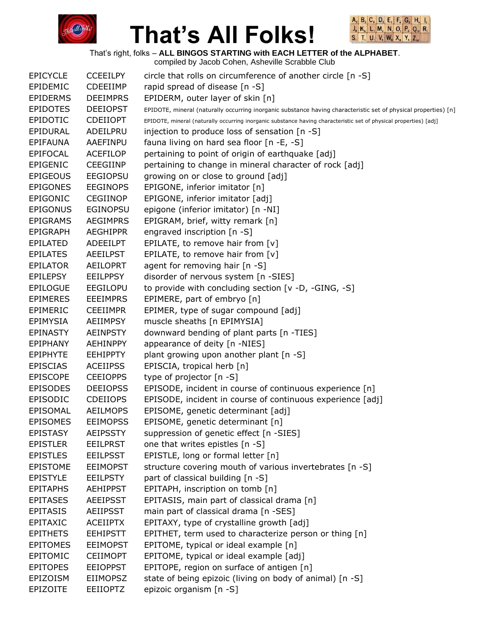



That's right, folks – **ALL BINGOS STARTING with EACH LETTER of the ALPHABET**.

| <b>EPICYCLE</b> | <b>CCEEILPY</b> | circle that rolls on circumference of another circle [n -S]                                                       |
|-----------------|-----------------|-------------------------------------------------------------------------------------------------------------------|
| EPIDEMIC        | <b>CDEEIIMP</b> | rapid spread of disease [n -S]                                                                                    |
| <b>EPIDERMS</b> | <b>DEEIMPRS</b> | EPIDERM, outer layer of skin [n]                                                                                  |
| <b>EPIDOTES</b> | <b>DEEIOPST</b> | EPIDOTE, mineral (naturally occurring inorganic substance having characteristic set of physical properties) [n]   |
| <b>EPIDOTIC</b> | <b>CDEIIOPT</b> | EPIDOTE, mineral (naturally occurring inorganic substance having characteristic set of physical properties) [adj] |
| EPIDURAL        | ADEILPRU        | injection to produce loss of sensation [n -S]                                                                     |
| <b>EPIFAUNA</b> | AAEFINPU        | fauna living on hard sea floor [n -E, -S]                                                                         |
| <b>EPIFOCAL</b> | <b>ACEFILOP</b> | pertaining to point of origin of earthquake [adj]                                                                 |
| <b>EPIGENIC</b> | <b>CEEGIINP</b> | pertaining to change in mineral character of rock [adj]                                                           |
| <b>EPIGEOUS</b> | <b>EEGIOPSU</b> | growing on or close to ground [adj]                                                                               |
| <b>EPIGONES</b> | <b>EEGINOPS</b> | EPIGONE, inferior imitator [n]                                                                                    |
| EPIGONIC        | <b>CEGIINOP</b> | EPIGONE, inferior imitator [adj]                                                                                  |
| <b>EPIGONUS</b> | <b>EGINOPSU</b> | epigone (inferior imitator) [n -NI]                                                                               |
| <b>EPIGRAMS</b> | <b>AEGIMPRS</b> | EPIGRAM, brief, witty remark [n]                                                                                  |
| <b>EPIGRAPH</b> | <b>AEGHIPPR</b> | engraved inscription [n -S]                                                                                       |
| <b>EPILATED</b> | <b>ADEEILPT</b> | EPILATE, to remove hair from [v]                                                                                  |
| <b>EPILATES</b> | <b>AEEILPST</b> | EPILATE, to remove hair from $[v]$                                                                                |
| <b>EPILATOR</b> | <b>AEILOPRT</b> | agent for removing hair [n -S]                                                                                    |
| <b>EPILEPSY</b> | <b>EEILPPSY</b> | disorder of nervous system [n -SIES]                                                                              |
| <b>EPILOGUE</b> | <b>EEGILOPU</b> | to provide with concluding section [v -D, -GING, -S]                                                              |
| <b>EPIMERES</b> | <b>EEEIMPRS</b> | EPIMERE, part of embryo [n]                                                                                       |
| EPIMERIC        | <b>CEEIIMPR</b> | EPIMER, type of sugar compound [adj]                                                                              |
| <b>EPIMYSIA</b> | <b>AEIIMPSY</b> | muscle sheaths [n EPIMYSIA]                                                                                       |
| <b>EPINASTY</b> | <b>AEINPSTY</b> | downward bending of plant parts [n -TIES]                                                                         |
| EPIPHANY        | <b>AEHINPPY</b> | appearance of deity [n -NIES]                                                                                     |
| <b>EPIPHYTE</b> | <b>EEHIPPTY</b> | plant growing upon another plant [n -S]                                                                           |
| <b>EPISCIAS</b> | <b>ACEIIPSS</b> | EPISCIA, tropical herb [n]                                                                                        |
| <b>EPISCOPE</b> | <b>CEEIOPPS</b> | type of projector [n -S]                                                                                          |
| <b>EPISODES</b> | <b>DEEIOPSS</b> | EPISODE, incident in course of continuous experience [n]                                                          |
| <b>EPISODIC</b> | <b>CDEIIOPS</b> | EPISODE, incident in course of continuous experience [adj]                                                        |
| EPISOMAL        | <b>AEILMOPS</b> | EPISOME, genetic determinant [adj]                                                                                |
| <b>EPISOMES</b> | <b>EEIMOPSS</b> | EPISOME, genetic determinant [n]                                                                                  |
| <b>EPISTASY</b> | <b>AEIPSSTY</b> | suppression of genetic effect [n -SIES]                                                                           |
| <b>EPISTLER</b> | <b>EEILPRST</b> | one that writes epistles [n -S]                                                                                   |
| <b>EPISTLES</b> | <b>EEILPSST</b> | EPISTLE, long or formal letter [n]                                                                                |
| <b>EPISTOME</b> | <b>EEIMOPST</b> | structure covering mouth of various invertebrates [n -S]                                                          |
| <b>EPISTYLE</b> | <b>EEILPSTY</b> | part of classical building [n -S]                                                                                 |
| <b>EPITAPHS</b> | <b>AEHIPPST</b> | EPITAPH, inscription on tomb [n]                                                                                  |
| <b>EPITASES</b> | <b>AEEIPSST</b> | EPITASIS, main part of classical drama [n]                                                                        |
| <b>EPITASIS</b> | <b>AEIIPSST</b> | main part of classical drama [n -SES]                                                                             |
| EPITAXIC        | <b>ACEIIPTX</b> | EPITAXY, type of crystalline growth [adj]                                                                         |
| <b>EPITHETS</b> | <b>EEHIPSTT</b> | EPITHET, term used to characterize person or thing [n]                                                            |
| <b>EPITOMES</b> | <b>EEIMOPST</b> | EPITOME, typical or ideal example [n]                                                                             |
| EPITOMIC        | <b>CEIIMOPT</b> | EPITOME, typical or ideal example [adj]                                                                           |
| <b>EPITOPES</b> | <b>EEIOPPST</b> | EPITOPE, region on surface of antigen [n]                                                                         |
| EPIZOISM        | <b>EIIMOPSZ</b> | state of being epizoic (living on body of animal) [n -S]                                                          |
| <b>EPIZOITE</b> | <b>EEIIOPTZ</b> | epizoic organism [n -S]                                                                                           |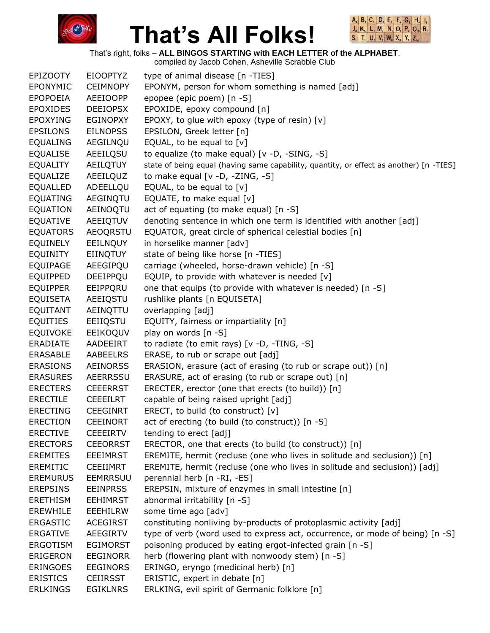



That's right, folks – **ALL BINGOS STARTING with EACH LETTER of the ALPHABET**.

|                 |                 | compiled by Jacob Cohen, Asheville Scrabble Club                                        |
|-----------------|-----------------|-----------------------------------------------------------------------------------------|
| <b>EPIZOOTY</b> | <b>EIOOPTYZ</b> | type of animal disease [n -TIES]                                                        |
| EPONYMIC        | <b>CEIMNOPY</b> | EPONYM, person for whom something is named [adj]                                        |
| <b>EPOPOEIA</b> | <b>AEEIOOPP</b> | epopee (epic poem) [n -S]                                                               |
| <b>EPOXIDES</b> | <b>DEEIOPSX</b> | EPOXIDE, epoxy compound [n]                                                             |
| <b>EPOXYING</b> | <b>EGINOPXY</b> | EPOXY, to glue with epoxy (type of resin) [v]                                           |
| <b>EPSILONS</b> | <b>EILNOPSS</b> | EPSILON, Greek letter [n]                                                               |
| <b>EQUALING</b> | AEGILNQU        | EQUAL, to be equal to $[v]$                                                             |
| <b>EQUALISE</b> | AEEILQSU        | to equalize (to make equal) [v -D, -SING, -S]                                           |
| <b>EQUALITY</b> | AEILQTUY        | state of being equal (having same capability, quantity, or effect as another) [n -TIES] |
| EQUALIZE        | AEEILQUZ        | to make equal $[v -D, -ZING, -S]$                                                       |
| <b>EQUALLED</b> | ADEELLQU        | EQUAL, to be equal to $[v]$                                                             |
| <b>EQUATING</b> | AEGINQTU        | EQUATE, to make equal [v]                                                               |
| <b>EQUATION</b> | AEINOQTU        | act of equating (to make equal) [n -S]                                                  |
| <b>EQUATIVE</b> | AEEIQTUV        | denoting sentence in which one term is identified with another [adj]                    |
| <b>EQUATORS</b> | <b>AEOQRSTU</b> | EQUATOR, great circle of spherical celestial bodies [n]                                 |
| <b>EQUINELY</b> | EEILNQUY        | in horselike manner [adv]                                                               |
| <b>EQUINITY</b> | <b>EIINQTUY</b> | state of being like horse [n -TIES]                                                     |
| <b>EQUIPAGE</b> | AEEGIPQU        | carriage (wheeled, horse-drawn vehicle) [n -S]                                          |
| <b>EQUIPPED</b> | DEEIPPQU        | EQUIP, to provide with whatever is needed [v]                                           |
| <b>EQUIPPER</b> | EEIPPQRU        | one that equips (to provide with whatever is needed) [n -S]                             |
| <b>EQUISETA</b> | AEEIQSTU        | rushlike plants [n EQUISETA]                                                            |
| EQUITANT        | AEINQTTU        | overlapping [adj]                                                                       |
| <b>EQUITIES</b> | EEIIQSTU        | EQUITY, fairness or impartiality [n]                                                    |
| <b>EQUIVOKE</b> | EEIKOQUV        | play on words [n -S]                                                                    |
| <b>ERADIATE</b> | AADEEIRT        | to radiate (to emit rays) [v -D, -TING, -S]                                             |
| <b>ERASABLE</b> | AABEELRS        | ERASE, to rub or scrape out [adj]                                                       |
| <b>ERASIONS</b> | <b>AEINORSS</b> | ERASION, erasure (act of erasing (to rub or scrape out)) [n]                            |
| <b>ERASURES</b> | AEERRSSU        | ERASURE, act of erasing (to rub or scrape out) [n]                                      |
| <b>ERECTERS</b> | <b>CEEERRST</b> | ERECTER, erector (one that erects (to build)) [n]                                       |
| <b>ERECTILE</b> | <b>CEEEILRT</b> | capable of being raised upright [adj]                                                   |
| <b>ERECTING</b> | <b>CEEGINRT</b> | ERECT, to build (to construct) [v]                                                      |
| <b>ERECTION</b> | <b>CEEINORT</b> | act of erecting (to build (to construct)) [n -S]                                        |
| <b>ERECTIVE</b> | <b>CEEEIRTV</b> | tending to erect [adj]                                                                  |
| <b>ERECTORS</b> | <b>CEEORRST</b> | ERECTOR, one that erects (to build (to construct)) [n]                                  |
| <b>EREMITES</b> | <b>EEEIMRST</b> | EREMITE, hermit (recluse (one who lives in solitude and seclusion)) [n]                 |
| <b>EREMITIC</b> | <b>CEEIIMRT</b> | EREMITE, hermit (recluse (one who lives in solitude and seclusion)) [adj]               |
| <b>EREMURUS</b> | <b>EEMRRSUU</b> | perennial herb [n -RI, -ES]                                                             |
| <b>EREPSINS</b> | <b>EEINPRSS</b> | EREPSIN, mixture of enzymes in small intestine [n]                                      |
| <b>ERETHISM</b> | <b>EEHIMRST</b> | abnormal irritability [n -S]                                                            |
| <b>EREWHILE</b> | EEEHILRW        | some time ago [adv]                                                                     |
| <b>ERGASTIC</b> | <b>ACEGIRST</b> | constituting nonliving by-products of protoplasmic activity [adj]                       |
| <b>ERGATIVE</b> | AEEGIRTV        | type of verb (word used to express act, occurrence, or mode of being) [n -S]            |
| <b>ERGOTISM</b> | <b>EGIMORST</b> | poisoning produced by eating ergot-infected grain [n -S]                                |
| ERIGERON        | <b>EEGINORR</b> | herb (flowering plant with nonwoody stem) [n -S]                                        |
| <b>ERINGOES</b> | <b>EEGINORS</b> | ERINGO, eryngo (medicinal herb) [n]                                                     |
| <b>ERISTICS</b> | <b>CEIIRSST</b> | ERISTIC, expert in debate [n]                                                           |
| <b>ERLKINGS</b> | <b>EGIKLNRS</b> | ERLKING, evil spirit of Germanic folklore [n]                                           |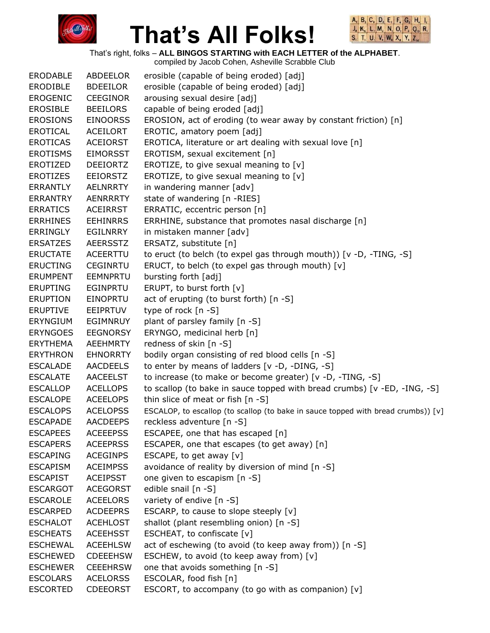



That's right, folks – **ALL BINGOS STARTING with EACH LETTER of the ALPHABET**.

| <b>ERODABLE</b> | ABDEELOR        | erosible (capable of being eroded) [adj]                                          |
|-----------------|-----------------|-----------------------------------------------------------------------------------|
| <b>ERODIBLE</b> | <b>BDEEILOR</b> | erosible (capable of being eroded) [adj]                                          |
| <b>EROGENIC</b> | <b>CEEGINOR</b> | arousing sexual desire [adj]                                                      |
| <b>EROSIBLE</b> | <b>BEEILORS</b> | capable of being eroded [adj]                                                     |
| <b>EROSIONS</b> | <b>EINOORSS</b> | EROSION, act of eroding (to wear away by constant friction) [n]                   |
| <b>EROTICAL</b> | ACEILORT        | EROTIC, amatory poem [adj]                                                        |
| <b>EROTICAS</b> | <b>ACEIORST</b> | EROTICA, literature or art dealing with sexual love [n]                           |
| <b>EROTISMS</b> | <b>EIMORSST</b> | EROTISM, sexual excitement [n]                                                    |
| <b>EROTIZED</b> | <b>DEEIORTZ</b> | EROTIZE, to give sexual meaning to $[v]$                                          |
| <b>EROTIZES</b> | <b>EEIORSTZ</b> | EROTIZE, to give sexual meaning to [v]                                            |
| <b>ERRANTLY</b> | AELNRRTY        | in wandering manner [adv]                                                         |
| <b>ERRANTRY</b> | AENRRRTY        | state of wandering [n -RIES]                                                      |
| <b>ERRATICS</b> | <b>ACEIRRST</b> | ERRATIC, eccentric person [n]                                                     |
| <b>ERRHINES</b> | <b>EEHINRRS</b> | ERRHINE, substance that promotes nasal discharge [n]                              |
| ERRINGLY        | EGILNRRY        | in mistaken manner [adv]                                                          |
| <b>ERSATZES</b> | <b>AEERSSTZ</b> | ERSATZ, substitute [n]                                                            |
| <b>ERUCTATE</b> | ACEERTTU        | to eruct (to belch (to expel gas through mouth)) [v -D, -TING, -S]                |
| <b>ERUCTING</b> | <b>CEGINRTU</b> | ERUCT, to belch (to expel gas through mouth) [v]                                  |
| <b>ERUMPENT</b> | <b>EEMNPRTU</b> | bursting forth [adj]                                                              |
| <b>ERUPTING</b> | EGINPRTU        | ERUPT, to burst forth [v]                                                         |
| <b>ERUPTION</b> | <b>EINOPRTU</b> | act of erupting (to burst forth) [n -S]                                           |
| <b>ERUPTIVE</b> | <b>EEIPRTUV</b> | type of rock [n -S]                                                               |
| <b>ERYNGIUM</b> | EGIMNRUY        | plant of parsley family [n -S]                                                    |
| <b>ERYNGOES</b> | <b>EEGNORSY</b> | ERYNGO, medicinal herb [n]                                                        |
| <b>ERYTHEMA</b> | <b>AEEHMRTY</b> | redness of skin [n -S]                                                            |
| <b>ERYTHRON</b> | <b>EHNORRTY</b> | bodily organ consisting of red blood cells [n -S]                                 |
| <b>ESCALADE</b> | AACDEELS        | to enter by means of ladders [v -D, -DING, -S]                                    |
| <b>ESCALATE</b> | <b>AACEELST</b> | to increase (to make or become greater) [v -D, -TING, -S]                         |
| <b>ESCALLOP</b> | <b>ACELLOPS</b> | to scallop (to bake in sauce topped with bread crumbs) [v -ED, -ING, -S]          |
| <b>ESCALOPE</b> | <b>ACEELOPS</b> | thin slice of meat or fish [n -S]                                                 |
| <b>ESCALOPS</b> | <b>ACELOPSS</b> | ESCALOP, to escallop (to scallop (to bake in sauce topped with bread crumbs)) [v] |
| <b>ESCAPADE</b> | <b>AACDEEPS</b> | reckless adventure [n -S]                                                         |
| <b>ESCAPEES</b> | <b>ACEEEPSS</b> | ESCAPEE, one that has escaped [n]                                                 |
| <b>ESCAPERS</b> | <b>ACEEPRSS</b> | ESCAPER, one that escapes (to get away) [n]                                       |
| <b>ESCAPING</b> | <b>ACEGINPS</b> | ESCAPE, to get away [v]                                                           |
| <b>ESCAPISM</b> | <b>ACEIMPSS</b> | avoidance of reality by diversion of mind [n -S]                                  |
| <b>ESCAPIST</b> | <b>ACEIPSST</b> | one given to escapism [n -S]                                                      |
| <b>ESCARGOT</b> | <b>ACEGORST</b> | edible snail [n -S]                                                               |
| <b>ESCAROLE</b> | <b>ACEELORS</b> | variety of endive [n -S]                                                          |
| <b>ESCARPED</b> | <b>ACDEEPRS</b> | ESCARP, to cause to slope steeply [v]                                             |
| <b>ESCHALOT</b> | <b>ACEHLOST</b> | shallot (plant resembling onion) [n -S]                                           |
| <b>ESCHEATS</b> | <b>ACEEHSST</b> | ESCHEAT, to confiscate [v]                                                        |
| <b>ESCHEWAL</b> | <b>ACEEHLSW</b> | act of eschewing (to avoid (to keep away from)) [n -S]                            |
| <b>ESCHEWED</b> | <b>CDEEEHSW</b> | ESCHEW, to avoid (to keep away from) [v]                                          |
| <b>ESCHEWER</b> | <b>CEEEHRSW</b> | one that avoids something [n -S]                                                  |
| <b>ESCOLARS</b> | <b>ACELORSS</b> | ESCOLAR, food fish [n]                                                            |
| <b>ESCORTED</b> | <b>CDEEORST</b> | ESCORT, to accompany (to go with as companion) [v]                                |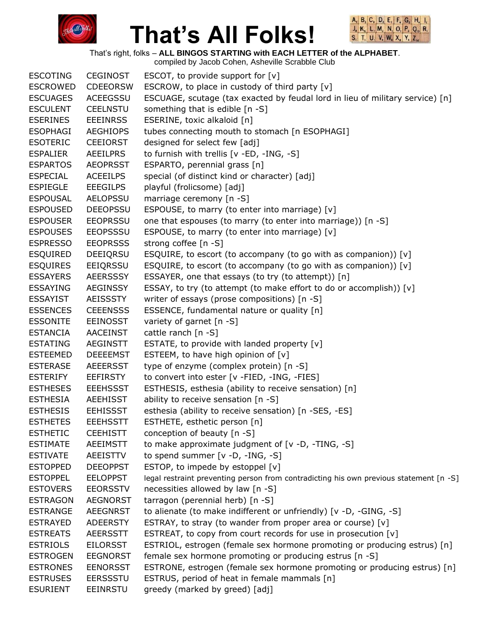



That's right, folks – **ALL BINGOS STARTING with EACH LETTER of the ALPHABET**.

compiled by Jacob Cohen, Asheville Scrabble Club ESCOTING CEGINOST ESCOT, to provide support for [v] ESCROWED CDEEORSW ESCROW, to place in custody of third party [v] ESCUAGES ACEEGSSU ESCUAGE, scutage (tax exacted by feudal lord in lieu of military service) [n] ESCULENT CEELNSTU something that is edible [n -S] ESERINES EEEINRSS ESERINE, toxic alkaloid [n] ESOPHAGI AEGHIOPS tubes connecting mouth to stomach [n ESOPHAGI] ESOTERIC CEEIORST designed for select few [adj] ESPALIER AEEILPRS to furnish with trellis [v -ED, -ING, -S] ESPARTOS AEOPRSST ESPARTO, perennial grass [n] ESPECIAL ACEEILPS special (of distinct kind or character) [adj] ESPIEGLE EEEGILPS playful (frolicsome) [adj] ESPOUSAL AELOPSSU marriage ceremony [n -S] ESPOUSED DEEOPSSU ESPOUSE, to marry (to enter into marriage) [v] ESPOUSER EEOPRSSU one that espouses (to marry (to enter into marriage)) [n -S] ESPOUSES EEOPSSSU ESPOUSE, to marry (to enter into marriage) [v] ESPRESSO EEOPRSSS strong coffee [n -S] ESQUIRED DEEIQRSU ESQUIRE, to escort (to accompany (to go with as companion)) [v] ESQUIRES EEIQRSSU ESQUIRE, to escort (to accompany (to go with as companion)) [v] ESSAYERS AEERSSSY ESSAYER, one that essays (to try (to attempt)) [n] ESSAYING AEGINSSY ESSAY, to try (to attempt (to make effort to do or accomplish)) [v] ESSAYIST AEISSSTY writer of essays (prose compositions) [n -S] ESSENCES CEEENSSS ESSENCE, fundamental nature or quality [n] ESSONITE EEINOSST variety of garnet [n -S] ESTANCIA AACEINST cattle ranch [n -S] ESTATING AEGINSTT ESTATE, to provide with landed property [v] ESTEEMED DEEEEMST ESTEEM, to have high opinion of [v] ESTERASE AEEERSST type of enzyme (complex protein) [n -S] ESTERIFY EEFIRSTY to convert into ester [v -FIED, -ING, -FIES] ESTHESES EEEHSSST ESTHESIS, esthesia (ability to receive sensation) [n] ESTHESIA AEEHISST ability to receive sensation [n -S] ESTHESIS EEHISSST esthesia (ability to receive sensation) [n -SES, -ES] ESTHETES EEEHSSTT ESTHETE, esthetic person [n] ESTHETIC CEEHISTT conception of beauty [n -S] ESTIMATE AEEIMSTT to make approximate judgment of [v -D, -TING, -S] ESTIVATE AEEISTTV to spend summer [v -D, -ING, -S] ESTOPPED DEEOPPST ESTOP, to impede by estoppel [v] ESTOPPEL EELOPPST legal restraint preventing person from contradicting his own previous statement [n -S] ESTOVERS EEORSSTV necessities allowed by law [n -S] ESTRAGON AEGNORST tarragon (perennial herb) [n -S] ESTRANGE AEEGNRST to alienate (to make indifferent or unfriendly) [v -D, -GING, -S] ESTRAYED ADEERSTY ESTRAY, to stray (to wander from proper area or course) [v] ESTREATS AEERSSTT ESTREAT, to copy from court records for use in prosecution [v] ESTRIOLS EILORSST ESTRIOL, estrogen (female sex hormone promoting or producing estrus) [n] ESTROGEN EEGNORST female sex hormone promoting or producing estrus [n -S] ESTRONES EENORSST ESTRONE, estrogen (female sex hormone promoting or producing estrus) [n] ESTRUSES EERSSSTU ESTRUS, period of heat in female mammals [n] ESURIENT EEINRSTU greedy (marked by greed) [adj]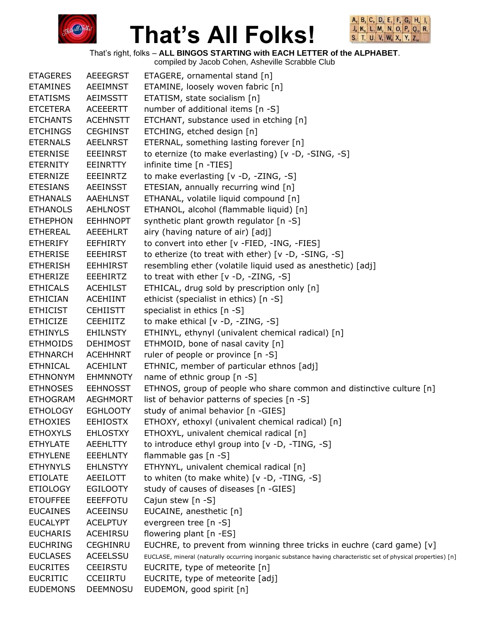



That's right, folks – **ALL BINGOS STARTING with EACH LETTER of the ALPHABET**.

| <b>ETAGERES</b> | <b>AEEEGRST</b> | ETAGERE, ornamental stand [n]                                                                                   |
|-----------------|-----------------|-----------------------------------------------------------------------------------------------------------------|
| <b>ETAMINES</b> | <b>AEEIMNST</b> | ETAMINE, loosely woven fabric [n]                                                                               |
| <b>ETATISMS</b> | <b>AEIMSSTT</b> | ETATISM, state socialism [n]                                                                                    |
| <b>ETCETERA</b> | <b>ACEEERTT</b> | number of additional items [n -S]                                                                               |
| <b>ETCHANTS</b> | <b>ACEHNSTT</b> | ETCHANT, substance used in etching [n]                                                                          |
| <b>ETCHINGS</b> | <b>CEGHINST</b> | ETCHING, etched design [n]                                                                                      |
| <b>ETERNALS</b> | <b>AEELNRST</b> | ETERNAL, something lasting forever [n]                                                                          |
| <b>ETERNISE</b> | <b>EEEINRST</b> | to eternize (to make everlasting) [v -D, -SING, -S]                                                             |
| <b>ETERNITY</b> | <b>EEINRTTY</b> | infinite time [n -TIES]                                                                                         |
| <b>ETERNIZE</b> | <b>EEEINRTZ</b> | to make everlasting [v -D, -ZING, -S]                                                                           |
| <b>ETESIANS</b> | <b>AEEINSST</b> | ETESIAN, annually recurring wind [n]                                                                            |
| <b>ETHANALS</b> | <b>AAEHLNST</b> | ETHANAL, volatile liquid compound [n]                                                                           |
| <b>ETHANOLS</b> | <b>AEHLNOST</b> | ETHANOL, alcohol (flammable liquid) [n]                                                                         |
| <b>ETHEPHON</b> | <b>EEHHNOPT</b> | synthetic plant growth regulator [n -S]                                                                         |
| <b>ETHEREAL</b> | <b>AEEEHLRT</b> | airy (having nature of air) [adj]                                                                               |
| <b>ETHERIFY</b> | <b>EEFHIRTY</b> | to convert into ether [v -FIED, -ING, -FIES]                                                                    |
| <b>ETHERISE</b> | <b>EEEHIRST</b> | to etherize (to treat with ether) [v -D, -SING, -S]                                                             |
| <b>ETHERISH</b> | <b>EEHHIRST</b> | resembling ether (volatile liquid used as anesthetic) [adj]                                                     |
| <b>ETHERIZE</b> | <b>EEEHIRTZ</b> | to treat with ether $[v -D, -ZING, -S]$                                                                         |
| <b>ETHICALS</b> | <b>ACEHILST</b> | ETHICAL, drug sold by prescription only [n]                                                                     |
| <b>ETHICIAN</b> | <b>ACEHIINT</b> | ethicist (specialist in ethics) [n -S]                                                                          |
| <b>ETHICIST</b> | <b>CEHIISTT</b> | specialist in ethics [n -S]                                                                                     |
| <b>ETHICIZE</b> | <b>CEEHIITZ</b> | to make ethical [v -D, -ZING, -S]                                                                               |
| <b>ETHINYLS</b> | <b>EHILNSTY</b> | ETHINYL, ethynyl (univalent chemical radical) [n]                                                               |
| <b>ETHMOIDS</b> | <b>DEHIMOST</b> | ETHMOID, bone of nasal cavity [n]                                                                               |
| <b>ETHNARCH</b> | <b>ACEHHNRT</b> | ruler of people or province [n -S]                                                                              |
| <b>ETHNICAL</b> | <b>ACEHILNT</b> | ETHNIC, member of particular ethnos [adj]                                                                       |
| <b>ETHNONYM</b> | <b>EHMNNOTY</b> | name of ethnic group [n -S]                                                                                     |
| <b>ETHNOSES</b> | <b>EEHNOSST</b> | ETHNOS, group of people who share common and distinctive culture [n]                                            |
| <b>ETHOGRAM</b> | <b>AEGHMORT</b> | list of behavior patterns of species [n -S]                                                                     |
| <b>ETHOLOGY</b> | <b>EGHLOOTY</b> | study of animal behavior [n -GIES]                                                                              |
| <b>ETHOXIES</b> | <b>EEHIOSTX</b> | ETHOXY, ethoxyl (univalent chemical radical) [n]                                                                |
| <b>ETHOXYLS</b> | <b>EHLOSTXY</b> | ETHOXYL, univalent chemical radical [n]                                                                         |
| <b>ETHYLATE</b> | AEEHLTTY        | to introduce ethyl group into [v -D, -TING, -S]                                                                 |
| <b>ETHYLENE</b> | <b>EEEHLNTY</b> | flammable gas $[n - S]$                                                                                         |
| <b>ETHYNYLS</b> | <b>EHLNSTYY</b> | ETHYNYL, univalent chemical radical [n]                                                                         |
| <b>ETIOLATE</b> | AEEILOTT        | to whiten (to make white) [v -D, -TING, -S]                                                                     |
| <b>ETIOLOGY</b> | <b>EGILOOTY</b> | study of causes of diseases [n -GIES]                                                                           |
| <b>ETOUFFEE</b> | <b>EEEFFOTU</b> | Cajun stew [n -S]                                                                                               |
| <b>EUCAINES</b> | <b>ACEEINSU</b> | EUCAINE, anesthetic [n]                                                                                         |
| <b>EUCALYPT</b> | <b>ACELPTUY</b> | evergreen tree [n -S]                                                                                           |
| <b>EUCHARIS</b> | <b>ACEHIRSU</b> | flowering plant [n -ES]                                                                                         |
| <b>EUCHRING</b> | CEGHINRU        | EUCHRE, to prevent from winning three tricks in euchre (card game) $[v]$                                        |
| <b>EUCLASES</b> | ACEELSSU        | EUCLASE, mineral (naturally occurring inorganic substance having characteristic set of physical properties) [n] |
| <b>EUCRITES</b> | <b>CEEIRSTU</b> | EUCRITE, type of meteorite [n]                                                                                  |
| <b>EUCRITIC</b> | <b>CCEIIRTU</b> | EUCRITE, type of meteorite [adj]                                                                                |
| <b>EUDEMONS</b> | <b>DEEMNOSU</b> | EUDEMON, good spirit [n]                                                                                        |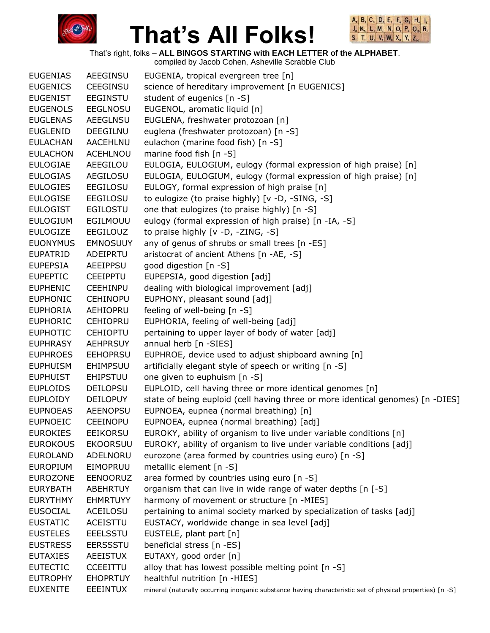



That's right, folks – **ALL BINGOS STARTING with EACH LETTER of the ALPHABET**. compiled by Jacob Cohen, Asheville Scrabble Club

|                 |                 | complied by Jacob Conen, Asheville Scrabble Club                                                          |
|-----------------|-----------------|-----------------------------------------------------------------------------------------------------------|
| <b>EUGENIAS</b> | AEEGINSU        | EUGENIA, tropical evergreen tree [n]                                                                      |
| <b>EUGENICS</b> | <b>CEEGINSU</b> | science of hereditary improvement [n EUGENICS]                                                            |
| <b>EUGENIST</b> | <b>EEGINSTU</b> | student of eugenics [n -S]                                                                                |
| <b>EUGENOLS</b> | <b>EEGLNOSU</b> | EUGENOL, aromatic liquid [n]                                                                              |
| <b>EUGLENAS</b> | <b>AEEGLNSU</b> | EUGLENA, freshwater protozoan [n]                                                                         |
| <b>EUGLENID</b> | DEEGILNU        | euglena (freshwater protozoan) [n -S]                                                                     |
| <b>EULACHAN</b> | AACEHLNU        | eulachon (marine food fish) [n -S]                                                                        |
| <b>EULACHON</b> | <b>ACEHLNOU</b> | marine food fish [n -S]                                                                                   |
| <b>EULOGIAE</b> | AEEGILOU        | EULOGIA, EULOGIUM, eulogy (formal expression of high praise) [n]                                          |
| <b>EULOGIAS</b> | AEGILOSU        | EULOGIA, EULOGIUM, eulogy (formal expression of high praise) [n]                                          |
| <b>EULOGIES</b> | EEGILOSU        | EULOGY, formal expression of high praise [n]                                                              |
| <b>EULOGISE</b> | <b>EEGILOSU</b> | to eulogize (to praise highly) [v -D, -SING, -S]                                                          |
| <b>EULOGIST</b> | <b>EGILOSTU</b> | one that eulogizes (to praise highly) [n -S]                                                              |
| <b>EULOGIUM</b> | EGILMOUU        | eulogy (formal expression of high praise) [n -IA, -S]                                                     |
| <b>EULOGIZE</b> | EEGILOUZ        | to praise highly [v -D, -ZING, -S]                                                                        |
| <b>EUONYMUS</b> | <b>EMNOSUUY</b> | any of genus of shrubs or small trees [n -ES]                                                             |
| <b>EUPATRID</b> | ADEIPRTU        | aristocrat of ancient Athens [n -AE, -S]                                                                  |
| <b>EUPEPSIA</b> | AEEIPPSU        | good digestion [n -S]                                                                                     |
| <b>EUPEPTIC</b> | <b>CEEIPPTU</b> | EUPEPSIA, good digestion [adj]                                                                            |
| <b>EUPHENIC</b> | <b>CEEHINPU</b> | dealing with biological improvement [adj]                                                                 |
| <b>EUPHONIC</b> | <b>CEHINOPU</b> | EUPHONY, pleasant sound [adj]                                                                             |
| <b>EUPHORIA</b> | AEHIOPRU        | feeling of well-being [n -S]                                                                              |
| <b>EUPHORIC</b> | <b>CEHIOPRU</b> | EUPHORIA, feeling of well-being [adj]                                                                     |
| <b>EUPHOTIC</b> | <b>CEHIOPTU</b> | pertaining to upper layer of body of water [adj]                                                          |
| <b>EUPHRASY</b> | <b>AEHPRSUY</b> | annual herb [n -SIES]                                                                                     |
| <b>EUPHROES</b> | <b>EEHOPRSU</b> | EUPHROE, device used to adjust shipboard awning [n]                                                       |
| <b>EUPHUISM</b> | EHIMPSUU        | artificially elegant style of speech or writing [n -S]                                                    |
| <b>EUPHUIST</b> | <b>EHIPSTUU</b> | one given to euphuism [n -S]                                                                              |
| <b>EUPLOIDS</b> | <b>DEILOPSU</b> | EUPLOID, cell having three or more identical genomes [n]                                                  |
| <b>EUPLOIDY</b> | <b>DEILOPUY</b> | state of being euploid (cell having three or more identical genomes) [n -DIES]                            |
| <b>EUPNOEAS</b> | <b>AEENOPSU</b> | EUPNOEA, eupnea (normal breathing) [n]                                                                    |
| <b>EUPNOEIC</b> | <b>CEEINOPU</b> | EUPNOEA, eupnea (normal breathing) [adj]                                                                  |
| <b>EUROKIES</b> | <b>EEIKORSU</b> | EUROKY, ability of organism to live under variable conditions [n]                                         |
| <b>EUROKOUS</b> | <b>EKOORSUU</b> | EUROKY, ability of organism to live under variable conditions [adj]                                       |
| <b>EUROLAND</b> | ADELNORU        | eurozone (area formed by countries using euro) [n -S]                                                     |
| <b>EUROPIUM</b> | <b>EIMOPRUU</b> | metallic element [n -S]                                                                                   |
| <b>EUROZONE</b> | EENOORUZ        | area formed by countries using euro [n -S]                                                                |
| <b>EURYBATH</b> | ABEHRTUY        | organism that can live in wide range of water depths [n [-S]                                              |
| <b>EURYTHMY</b> | <b>EHMRTUYY</b> | harmony of movement or structure [n -MIES]                                                                |
| <b>EUSOCIAL</b> | ACEILOSU        | pertaining to animal society marked by specialization of tasks [adj]                                      |
| <b>EUSTATIC</b> | ACEISTTU        | EUSTACY, worldwide change in sea level [adj]                                                              |
| <b>EUSTELES</b> | <b>EEELSSTU</b> | EUSTELE, plant part [n]                                                                                   |
| <b>EUSTRESS</b> | <b>EERSSSTU</b> | beneficial stress [n -ES]                                                                                 |
| <b>EUTAXIES</b> | <b>AEEISTUX</b> | EUTAXY, good order [n]                                                                                    |
| <b>EUTECTIC</b> | <b>CCEEITTU</b> | alloy that has lowest possible melting point [n -S]                                                       |
| <b>EUTROPHY</b> | <b>EHOPRTUY</b> | healthful nutrition [n -HIES]                                                                             |
| <b>EUXENITE</b> | EEEINTUX        | mineral (naturally occurring inorganic substance having characteristic set of physical properties) [n -S] |
|                 |                 |                                                                                                           |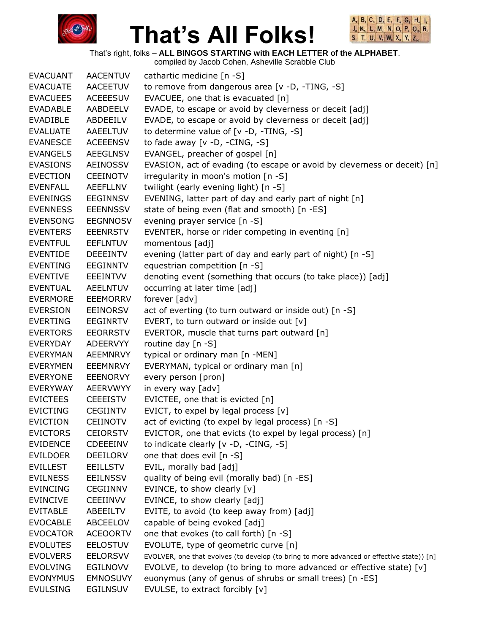



That's right, folks – **ALL BINGOS STARTING with EACH LETTER of the ALPHABET**. compiled by Jacob Cohen, Asheville Scrabble Club

|                 |                 | complica by cacco concit, noncyllic corabbic clab                                         |
|-----------------|-----------------|-------------------------------------------------------------------------------------------|
| <b>EVACUANT</b> | <b>AACENTUV</b> | cathartic medicine [n -S]                                                                 |
| <b>EVACUATE</b> | <b>AACEETUV</b> | to remove from dangerous area [v -D, -TING, -S]                                           |
| <b>EVACUEES</b> | <b>ACEEESUV</b> | EVACUEE, one that is evacuated [n]                                                        |
| <b>EVADABLE</b> | AABDEELV        | EVADE, to escape or avoid by cleverness or deceit [adj]                                   |
| <b>EVADIBLE</b> | ABDEEILV        | EVADE, to escape or avoid by cleverness or deceit [adj]                                   |
| <b>EVALUATE</b> | AAEELTUV        | to determine value of [v -D, -TING, -S]                                                   |
| <b>EVANESCE</b> | <b>ACEEENSV</b> | to fade away $[v -D, -CING, -S]$                                                          |
| <b>EVANGELS</b> | <b>AEEGLNSV</b> | EVANGEL, preacher of gospel [n]                                                           |
| <b>EVASIONS</b> | AEINOSSV        | EVASION, act of evading (to escape or avoid by cleverness or deceit) [n]                  |
| <b>EVECTION</b> | <b>CEEINOTV</b> | irregularity in moon's motion [n -S]                                                      |
| <b>EVENFALL</b> | AEEFLLNV        | twilight (early evening light) [n -S]                                                     |
| <b>EVENINGS</b> | EEGINNSV        | EVENING, latter part of day and early part of night [n]                                   |
| <b>EVENNESS</b> | <b>EEENNSSV</b> | state of being even (flat and smooth) [n -ES]                                             |
| <b>EVENSONG</b> | <b>EEGNNOSV</b> | evening prayer service [n -S]                                                             |
| <b>EVENTERS</b> | <b>EEENRSTV</b> | EVENTER, horse or rider competing in eventing [n]                                         |
| <b>EVENTFUL</b> | <b>EEFLNTUV</b> | momentous [adj]                                                                           |
| <b>EVENTIDE</b> | DEEEINTV        | evening (latter part of day and early part of night) [n -S]                               |
| <b>EVENTING</b> | EEGINNTV        | equestrian competition [n -S]                                                             |
| <b>EVENTIVE</b> | EEEINTVV        | denoting event (something that occurs (to take place)) [adj]                              |
| <b>EVENTUAL</b> | <b>AEELNTUV</b> | occurring at later time [adj]                                                             |
| <b>EVERMORE</b> | <b>EEEMORRV</b> | forever [adv]                                                                             |
| <b>EVERSION</b> | EEINORSV        | act of everting (to turn outward or inside out) [n -S]                                    |
| <b>EVERTING</b> | EEGINRTV        | EVERT, to turn outward or inside out [v]                                                  |
| <b>EVERTORS</b> | <b>EEORRSTV</b> | EVERTOR, muscle that turns part outward [n]                                               |
| EVERYDAY        | ADEERVYY        | routine day [n -S]                                                                        |
| <b>EVERYMAN</b> | <b>AEEMNRVY</b> | typical or ordinary man [n -MEN]                                                          |
| <b>EVERYMEN</b> | <b>EEEMNRVY</b> | EVERYMAN, typical or ordinary man [n]                                                     |
| <b>EVERYONE</b> | <b>EEENORVY</b> | every person [pron]                                                                       |
| EVERYWAY        | AEERVWYY        | in every way [adv]                                                                        |
| <b>EVICTEES</b> | <b>CEEEISTV</b> | EVICTEE, one that is evicted [n]                                                          |
| <b>EVICTING</b> | <b>CEGIINTV</b> | EVICT, to expel by legal process [v]                                                      |
| EVICTION        | CEIINOTV        | act of evicting (to expel by legal process) [n -S]                                        |
| <b>EVICTORS</b> | <b>CEIORSTV</b> | EVICTOR, one that evicts (to expel by legal process) [n]                                  |
| <b>EVIDENCE</b> | CDEEEINV        | to indicate clearly [v -D, -CING, -S]                                                     |
| <b>EVILDOER</b> | <b>DEEILORV</b> | one that does evil [n -S]                                                                 |
| <b>EVILLEST</b> | <b>EEILLSTV</b> | EVIL, morally bad [adj]                                                                   |
| <b>EVILNESS</b> | <b>EEILNSSV</b> | quality of being evil (morally bad) [n -ES]                                               |
| <b>EVINCING</b> | <b>CEGIINNV</b> | EVINCE, to show clearly [v]                                                               |
| <b>EVINCIVE</b> | <b>CEEIINVV</b> | EVINCE, to show clearly [adj]                                                             |
| <b>EVITABLE</b> | ABEEILTV        | EVITE, to avoid (to keep away from) [adj]                                                 |
| <b>EVOCABLE</b> | ABCEELOV        | capable of being evoked [adj]                                                             |
| <b>EVOCATOR</b> | <b>ACEOORTV</b> | one that evokes (to call forth) [n -S]                                                    |
| <b>EVOLUTES</b> | <b>EELOSTUV</b> | EVOLUTE, type of geometric curve [n]                                                      |
| <b>EVOLVERS</b> | <b>EELORSVV</b> | EVOLVER, one that evolves (to develop (to bring to more advanced or effective state)) [n] |
| <b>EVOLVING</b> | <b>EGILNOVV</b> | EVOLVE, to develop (to bring to more advanced or effective state) [v]                     |
| <b>EVONYMUS</b> | <b>EMNOSUVY</b> | euonymus (any of genus of shrubs or small trees) [n -ES]                                  |
| <b>EVULSING</b> | <b>EGILNSUV</b> | EVULSE, to extract forcibly [v]                                                           |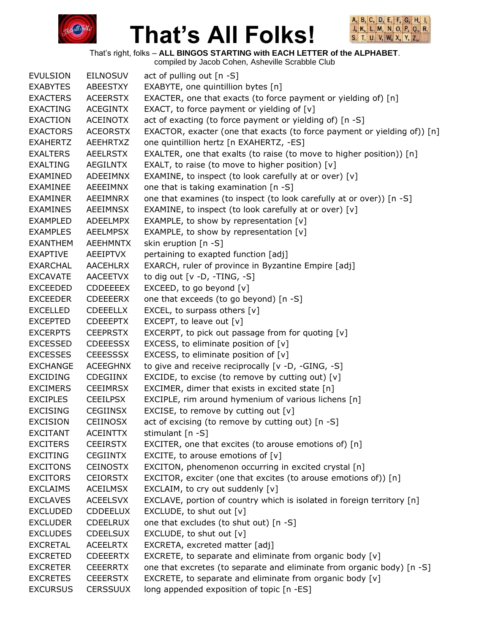



That's right, folks – **ALL BINGOS STARTING with EACH LETTER of the ALPHABET**.

| <b>EVULSION</b> | <b>EILNOSUV</b> | act of pulling out [n -S]                                                |
|-----------------|-----------------|--------------------------------------------------------------------------|
| <b>EXABYTES</b> | ABEESTXY        | EXABYTE, one quintillion bytes [n]                                       |
| <b>EXACTERS</b> | <b>ACEERSTX</b> | EXACTER, one that exacts (to force payment or yielding of) [n]           |
| <b>EXACTING</b> | <b>ACEGINTX</b> | EXACT, to force payment or yielding of $[v]$                             |
| EXACTION        | <b>ACEINOTX</b> | act of exacting (to force payment or yielding of) [n -S]                 |
| <b>EXACTORS</b> | <b>ACEORSTX</b> | EXACTOR, exacter (one that exacts (to force payment or yielding of)) [n] |
| <b>EXAHERTZ</b> | AEEHRTXZ        | one quintillion hertz [n EXAHERTZ, -ES]                                  |
| <b>EXALTERS</b> | <b>AEELRSTX</b> | EXALTER, one that exalts (to raise (to move to higher position)) [n]     |
| <b>EXALTING</b> | AEGILNTX        | EXALT, to raise (to move to higher position) $[v]$                       |
| EXAMINED        | ADEEIMNX        | EXAMINE, to inspect (to look carefully at or over) [v]                   |
| <b>EXAMINEE</b> | AEEEIMNX        | one that is taking examination [n -S]                                    |
| EXAMINER        | AEEIMNRX        | one that examines (to inspect (to look carefully at or over)) [n -S]     |
| <b>EXAMINES</b> | <b>AEEIMNSX</b> | EXAMINE, to inspect (to look carefully at or over) [v]                   |
| <b>EXAMPLED</b> | ADEELMPX        | EXAMPLE, to show by representation [v]                                   |
| <b>EXAMPLES</b> | <b>AEELMPSX</b> | EXAMPLE, to show by representation [v]                                   |
| <b>EXANTHEM</b> | <b>AEEHMNTX</b> | skin eruption [n -S]                                                     |
| <b>EXAPTIVE</b> | AEEIPTVX        | pertaining to exapted function [adj]                                     |
| <b>EXARCHAL</b> | <b>AACEHLRX</b> | EXARCH, ruler of province in Byzantine Empire [adj]                      |
| <b>EXCAVATE</b> | <b>AACEETVX</b> | to dig out [v -D, -TING, -S]                                             |
| EXCEEDED        | <b>CDDEEEEX</b> | EXCEED, to go beyond [v]                                                 |
| <b>EXCEEDER</b> | <b>CDEEEERX</b> | one that exceeds (to go beyond) [n -S]                                   |
| <b>EXCELLED</b> | <b>CDEEELLX</b> | EXCEL, to surpass others [v]                                             |
| <b>EXCEPTED</b> | <b>CDEEEPTX</b> | EXCEPT, to leave out $[v]$                                               |
| <b>EXCERPTS</b> | <b>CEEPRSTX</b> | EXCERPT, to pick out passage from for quoting [v]                        |
| <b>EXCESSED</b> | <b>CDEEESSX</b> | EXCESS, to eliminate position of [v]                                     |
| <b>EXCESSES</b> | <b>CEEESSSX</b> | EXCESS, to eliminate position of $[v]$                                   |
| <b>EXCHANGE</b> | <b>ACEEGHNX</b> | to give and receive reciprocally [v -D, -GING, -S]                       |
| <b>EXCIDING</b> | <b>CDEGIINX</b> | EXCIDE, to excise (to remove by cutting out) $[v]$                       |
| <b>EXCIMERS</b> | <b>CEEIMRSX</b> | EXCIMER, dimer that exists in excited state [n]                          |
| <b>EXCIPLES</b> | <b>CEEILPSX</b> | EXCIPLE, rim around hymenium of various lichens [n]                      |
| <b>EXCISING</b> | <b>CEGIINSX</b> | EXCISE, to remove by cutting out $[v]$                                   |
| <b>EXCISION</b> | <b>CEIINOSX</b> | act of excising (to remove by cutting out) [n -S]                        |
| <b>EXCITANT</b> | <b>ACEINTTX</b> | stimulant [n -S]                                                         |
| <b>EXCITERS</b> | <b>CEEIRSTX</b> | EXCITER, one that excites (to arouse emotions of) [n]                    |
| <b>EXCITING</b> | <b>CEGIINTX</b> | EXCITE, to arouse emotions of $[v]$                                      |
| <b>EXCITONS</b> | <b>CEINOSTX</b> | EXCITON, phenomenon occurring in excited crystal [n]                     |
| <b>EXCITORS</b> | <b>CEIORSTX</b> | EXCITOR, exciter (one that excites (to arouse emotions of)) [n]          |
| <b>EXCLAIMS</b> | <b>ACEILMSX</b> | EXCLAIM, to cry out suddenly [v]                                         |
| <b>EXCLAVES</b> | <b>ACEELSVX</b> | EXCLAVE, portion of country which is isolated in foreign territory [n]   |
| <b>EXCLUDED</b> | <b>CDDEELUX</b> | EXCLUDE, to shut out [v]                                                 |
| <b>EXCLUDER</b> | <b>CDEELRUX</b> | one that excludes (to shut out) [n -S]                                   |
| <b>EXCLUDES</b> | <b>CDEELSUX</b> | EXCLUDE, to shut out [v]                                                 |
| <b>EXCRETAL</b> | <b>ACEELRTX</b> | EXCRETA, excreted matter [adj]                                           |
| <b>EXCRETED</b> | <b>CDEEERTX</b> | EXCRETE, to separate and eliminate from organic body [v]                 |
| <b>EXCRETER</b> | <b>CEEERRTX</b> | one that excretes (to separate and eliminate from organic body) [n -S]   |
| <b>EXCRETES</b> | <b>CEEERSTX</b> | EXCRETE, to separate and eliminate from organic body [v]                 |
| <b>EXCURSUS</b> | <b>CERSSUUX</b> | long appended exposition of topic [n -ES]                                |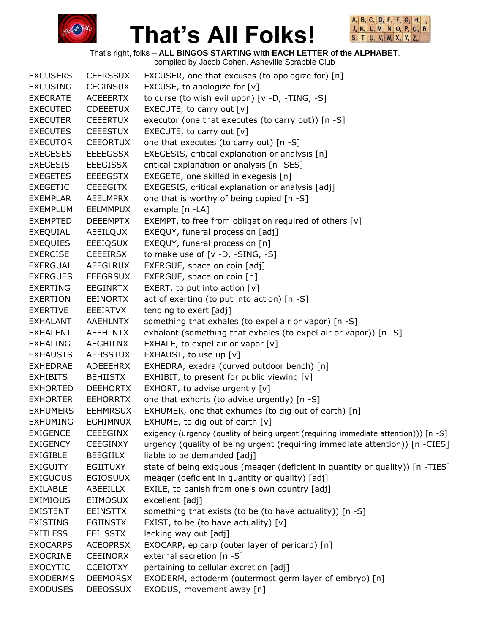



That's right, folks – **ALL BINGOS STARTING with EACH LETTER of the ALPHABET**.

| <b>EXCUSERS</b> | <b>CEERSSUX</b> | EXCUSER, one that excuses (to apologize for) [n]                                    |
|-----------------|-----------------|-------------------------------------------------------------------------------------|
| <b>EXCUSING</b> | <b>CEGINSUX</b> | EXCUSE, to apologize for $[v]$                                                      |
| <b>EXECRATE</b> | <b>ACEEERTX</b> | to curse (to wish evil upon) [v -D, -TING, -S]                                      |
| <b>EXECUTED</b> | <b>CDEEETUX</b> | EXECUTE, to carry out $[v]$                                                         |
| <b>EXECUTER</b> | <b>CEEERTUX</b> | executor (one that executes (to carry out)) [n -S]                                  |
| <b>EXECUTES</b> | <b>CEEESTUX</b> | EXECUTE, to carry out $[v]$                                                         |
| <b>EXECUTOR</b> | <b>CEEORTUX</b> | one that executes (to carry out) [n -S]                                             |
| <b>EXEGESES</b> | <b>EEEEGSSX</b> | EXEGESIS, critical explanation or analysis [n]                                      |
| <b>EXEGESIS</b> | <b>EEEGISSX</b> | critical explanation or analysis [n -SES]                                           |
| <b>EXEGETES</b> | <b>EEEEGSTX</b> | EXEGETE, one skilled in exegesis [n]                                                |
| <b>EXEGETIC</b> | <b>CEEEGITX</b> | EXEGESIS, critical explanation or analysis [adj]                                    |
| <b>EXEMPLAR</b> | AEELMPRX        | one that is worthy of being copied [n -S]                                           |
| <b>EXEMPLUM</b> | EELMMPUX        | example [n -LA]                                                                     |
| <b>EXEMPTED</b> | <b>DEEEMPTX</b> | EXEMPT, to free from obligation required of others [v]                              |
| <b>EXEQUIAL</b> | AEEILQUX        | EXEQUY, funeral procession [adj]                                                    |
| <b>EXEQUIES</b> | EEEIQSUX        | EXEQUY, funeral procession [n]                                                      |
| <b>EXERCISE</b> | <b>CEEEIRSX</b> | to make use of [v -D, -SING, -S]                                                    |
| <b>EXERGUAL</b> | AEEGLRUX        | EXERGUE, space on coin [adj]                                                        |
| <b>EXERGUES</b> | <b>EEEGRSUX</b> | EXERGUE, space on coin [n]                                                          |
| <b>EXERTING</b> | EEGINRTX        | EXERT, to put into action $[v]$                                                     |
| <b>EXERTION</b> | <b>EEINORTX</b> | act of exerting (to put into action) [n -S]                                         |
| <b>EXERTIVE</b> | EEEIRTVX        | tending to exert [adj]                                                              |
| <b>EXHALANT</b> | AAEHLNTX        | something that exhales (to expel air or vapor) [n -S]                               |
| <b>EXHALENT</b> | <b>AEEHLNTX</b> | exhalant (something that exhales (to expel air or vapor)) [n -S]                    |
| <b>EXHALING</b> | AEGHILNX        | EXHALE, to expel air or vapor $[v]$                                                 |
| <b>EXHAUSTS</b> | AEHSSTUX        | EXHAUST, to use up [v]                                                              |
| <b>EXHEDRAE</b> | ADEEEHRX        | EXHEDRA, exedra (curved outdoor bench) [n]                                          |
| <b>EXHIBITS</b> | <b>BEHIISTX</b> | EXHIBIT, to present for public viewing [v]                                          |
| <b>EXHORTED</b> | <b>DEEHORTX</b> | EXHORT, to advise urgently [v]                                                      |
| <b>EXHORTER</b> | <b>EEHORRTX</b> | one that exhorts (to advise urgently) [n -S]                                        |
| <b>EXHUMERS</b> | <b>EEHMRSUX</b> | EXHUMER, one that exhumes (to dig out of earth) [n]                                 |
| <b>EXHUMING</b> | <b>EGHIMNUX</b> | EXHUME, to dig out of earth $[v]$                                                   |
| <b>EXIGENCE</b> | <b>CEEEGINX</b> | exigency (urgency (quality of being urgent (requiring immediate attention))) [n -S] |
| <b>EXIGENCY</b> | <b>CEEGINXY</b> | urgency (quality of being urgent (requiring immediate attention)) [n -CIES]         |
| <b>EXIGIBLE</b> | <b>BEEGIILX</b> | liable to be demanded [adj]                                                         |
| <b>EXIGUITY</b> | <b>EGIITUXY</b> | state of being exiguous (meager (deficient in quantity or quality)) [n -TIES]       |
| <b>EXIGUOUS</b> | <b>EGIOSUUX</b> | meager (deficient in quantity or quality) [adj]                                     |
| <b>EXILABLE</b> | ABEEILLX        | EXILE, to banish from one's own country [adj]                                       |
| <b>EXIMIOUS</b> | <b>EIIMOSUX</b> | excellent [adj]                                                                     |
| <b>EXISTENT</b> | <b>EEINSTTX</b> | something that exists (to be (to have actuality)) [n -S]                            |
| <b>EXISTING</b> | <b>EGIINSTX</b> | EXIST, to be (to have actuality) $[v]$                                              |
| <b>EXITLESS</b> | <b>EEILSSTX</b> | lacking way out [adj]                                                               |
| <b>EXOCARPS</b> | <b>ACEOPRSX</b> | EXOCARP, epicarp (outer layer of pericarp) [n]                                      |
| <b>EXOCRINE</b> | <b>CEEINORX</b> | external secretion [n -S]                                                           |
| <b>EXOCYTIC</b> | <b>CCEIOTXY</b> | pertaining to cellular excretion [adj]                                              |
| <b>EXODERMS</b> | <b>DEEMORSX</b> | EXODERM, ectoderm (outermost germ layer of embryo) [n]                              |
| <b>EXODUSES</b> | <b>DEEOSSUX</b> | EXODUS, movement away [n]                                                           |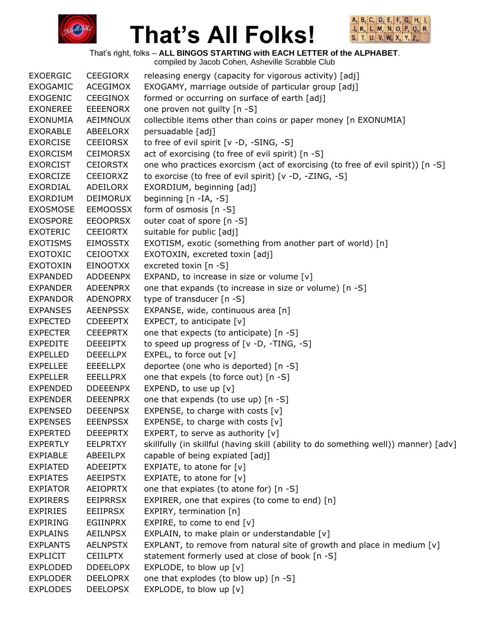



That's right, folks – **ALL BINGOS STARTING with EACH LETTER of the ALPHABET**.

| <b>EXOERGIC</b> | <b>CEEGIORX</b> | releasing energy (capacity for vigorous activity) [adj]                             |
|-----------------|-----------------|-------------------------------------------------------------------------------------|
| <b>EXOGAMIC</b> | <b>ACEGIMOX</b> | EXOGAMY, marriage outside of particular group [adj]                                 |
| <b>EXOGENIC</b> | <b>CEEGINOX</b> | formed or occurring on surface of earth [adj]                                       |
| <b>EXONEREE</b> | <b>EEEENORX</b> | one proven not guilty [n -S]                                                        |
| <b>EXONUMIA</b> | AEIMNOUX        | collectible items other than coins or paper money [n EXONUMIA]                      |
| <b>EXORABLE</b> | ABEELORX        | persuadable [adj]                                                                   |
| <b>EXORCISE</b> | <b>CEEIORSX</b> | to free of evil spirit [v -D, -SING, -S]                                            |
| <b>EXORCISM</b> | <b>CEIMORSX</b> | act of exorcising (to free of evil spirit) [n -S]                                   |
| <b>EXORCIST</b> | <b>CEIORSTX</b> | one who practices exorcism (act of exorcising (to free of evil spirit)) [n -S]      |
| <b>EXORCIZE</b> | <b>CEEIORXZ</b> | to exorcise (to free of evil spirit) [v -D, -ZING, -S]                              |
| <b>EXORDIAL</b> | ADEILORX        | EXORDIUM, beginning [adj]                                                           |
| <b>EXORDIUM</b> | <b>DEIMORUX</b> | beginning [n -IA, -S]                                                               |
| <b>EXOSMOSE</b> | <b>EEMOOSSX</b> | form of osmosis [n -S]                                                              |
| <b>EXOSPORE</b> | <b>EEOOPRSX</b> | outer coat of spore [n -S]                                                          |
| <b>EXOTERIC</b> | <b>CEEIORTX</b> | suitable for public [adj]                                                           |
| <b>EXOTISMS</b> | <b>EIMOSSTX</b> | EXOTISM, exotic (something from another part of world) [n]                          |
| <b>EXOTOXIC</b> | <b>CEIOOTXX</b> | EXOTOXIN, excreted toxin [adj]                                                      |
| <b>EXOTOXIN</b> | <b>EINOOTXX</b> | excreted toxin [n -S]                                                               |
| <b>EXPANDED</b> | <b>ADDEENPX</b> | EXPAND, to increase in size or volume [v]                                           |
| <b>EXPANDER</b> | <b>ADEENPRX</b> | one that expands (to increase in size or volume) [n -S]                             |
| <b>EXPANDOR</b> | <b>ADENOPRX</b> | type of transducer [n -S]                                                           |
| <b>EXPANSES</b> | <b>AEENPSSX</b> | EXPANSE, wide, continuous area [n]                                                  |
| <b>EXPECTED</b> | <b>CDEEEPTX</b> | EXPECT, to anticipate $[v]$                                                         |
| <b>EXPECTER</b> | <b>CEEEPRTX</b> | one that expects (to anticipate) [n -S]                                             |
| <b>EXPEDITE</b> | <b>DEEEIPTX</b> | to speed up progress of [v -D, -TING, -S]                                           |
| <b>EXPELLED</b> | <b>DEEELLPX</b> | EXPEL, to force out [v]                                                             |
| <b>EXPELLEE</b> | <b>EEEELLPX</b> | deportee (one who is deported) [n -S]                                               |
| <b>EXPELLER</b> | <b>EEELLPRX</b> | one that expels (to force out) [n -S]                                               |
| <b>EXPENDED</b> | <b>DDEEENPX</b> | EXPEND, to use up $[v]$                                                             |
| <b>EXPENDER</b> | <b>DEEENPRX</b> | one that expends (to use up) [n -S]                                                 |
| <b>EXPENSED</b> | <b>DEEENPSX</b> | EXPENSE, to charge with costs $[v]$                                                 |
| <b>EXPENSES</b> | <b>EEENPSSX</b> | EXPENSE, to charge with costs [v]                                                   |
| <b>EXPERTED</b> | <b>DEEEPRTX</b> | EXPERT, to serve as authority $[v]$                                                 |
| <b>EXPERTLY</b> | <b>EELPRTXY</b> | skillfully (in skillful (having skill (ability to do something well)) manner) [adv] |
| <b>EXPIABLE</b> | ABEEILPX        | capable of being expiated [adj]                                                     |
| <b>EXPIATED</b> | <b>ADEEIPTX</b> | EXPIATE, to atone for [v]                                                           |
| <b>EXPIATES</b> | <b>AEEIPSTX</b> | EXPIATE, to atone for $[v]$                                                         |
| <b>EXPIATOR</b> | <b>AEIOPRTX</b> | one that expiates (to atone for) [n -S]                                             |
| <b>EXPIRERS</b> | <b>EEIPRRSX</b> | EXPIRER, one that expires (to come to end) [n]                                      |
| <b>EXPIRIES</b> | <b>EEIIPRSX</b> | EXPIRY, termination [n]                                                             |
| <b>EXPIRING</b> | EGIINPRX        | EXPIRE, to come to end [v]                                                          |
| <b>EXPLAINS</b> | <b>AEILNPSX</b> | EXPLAIN, to make plain or understandable [v]                                        |
| <b>EXPLANTS</b> | <b>AELNPSTX</b> | EXPLANT, to remove from natural site of growth and place in medium $[v]$            |
| <b>EXPLICIT</b> | <b>CEIILPTX</b> | statement formerly used at close of book [n -S]                                     |
| <b>EXPLODED</b> | <b>DDEELOPX</b> | EXPLODE, to blow up [v]                                                             |
| <b>EXPLODER</b> | <b>DEELOPRX</b> | one that explodes (to blow up) [n -S]                                               |
| <b>EXPLODES</b> | <b>DEELOPSX</b> | EXPLODE, to blow up [v]                                                             |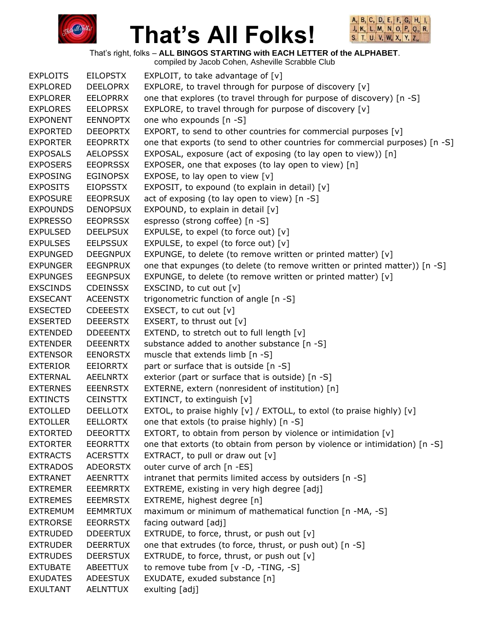



That's right, folks – **ALL BINGOS STARTING with EACH LETTER of the ALPHABET**.

|                 |                 | compiled by Jacob Cohen, Asheville Scrabble Club                             |
|-----------------|-----------------|------------------------------------------------------------------------------|
| <b>EXPLOITS</b> | <b>EILOPSTX</b> | EXPLOIT, to take advantage of [v]                                            |
| <b>EXPLORED</b> | <b>DEELOPRX</b> | EXPLORE, to travel through for purpose of discovery [v]                      |
| <b>EXPLORER</b> | <b>EELOPRRX</b> | one that explores (to travel through for purpose of discovery) [n -S]        |
| <b>EXPLORES</b> | <b>EELOPRSX</b> | EXPLORE, to travel through for purpose of discovery [v]                      |
| <b>EXPONENT</b> | <b>EENNOPTX</b> | one who expounds [n -S]                                                      |
| <b>EXPORTED</b> | <b>DEEOPRTX</b> | EXPORT, to send to other countries for commercial purposes [v]               |
| <b>EXPORTER</b> | <b>EEOPRRTX</b> | one that exports (to send to other countries for commercial purposes) [n -S] |
| <b>EXPOSALS</b> | <b>AELOPSSX</b> | EXPOSAL, exposure (act of exposing (to lay open to view)) [n]                |
| <b>EXPOSERS</b> | <b>EEOPRSSX</b> | EXPOSER, one that exposes (to lay open to view) [n]                          |
| <b>EXPOSING</b> | <b>EGINOPSX</b> | EXPOSE, to lay open to view $[v]$                                            |
| <b>EXPOSITS</b> | <b>EIOPSSTX</b> | EXPOSIT, to expound (to explain in detail) [v]                               |
| <b>EXPOSURE</b> | <b>EEOPRSUX</b> | act of exposing (to lay open to view) [n -S]                                 |
| <b>EXPOUNDS</b> | <b>DENOPSUX</b> | EXPOUND, to explain in detail [v]                                            |
| <b>EXPRESSO</b> | <b>EEOPRSSX</b> | espresso (strong coffee) [n -S]                                              |
| <b>EXPULSED</b> | <b>DEELPSUX</b> | EXPULSE, to expel (to force out) [v]                                         |
| <b>EXPULSES</b> | <b>EELPSSUX</b> | EXPULSE, to expel (to force out) [v]                                         |
| <b>EXPUNGED</b> | <b>DEEGNPUX</b> | EXPUNGE, to delete (to remove written or printed matter) [v]                 |
| <b>EXPUNGER</b> | <b>EEGNPRUX</b> | one that expunges (to delete (to remove written or printed matter)) [n -S]   |
| <b>EXPUNGES</b> | <b>EEGNPSUX</b> | EXPUNGE, to delete (to remove written or printed matter) [v]                 |
| <b>EXSCINDS</b> | <b>CDEINSSX</b> | EXSCIND, to cut out $[v]$                                                    |
| <b>EXSECANT</b> | <b>ACEENSTX</b> | trigonometric function of angle [n -S]                                       |
| <b>EXSECTED</b> | <b>CDEEESTX</b> | EXSECT, to cut out [v]                                                       |
| <b>EXSERTED</b> | <b>DEEERSTX</b> | EXSERT, to thrust out [v]                                                    |
| <b>EXTENDED</b> | <b>DDEEENTX</b> | EXTEND, to stretch out to full length [v]                                    |
| <b>EXTENDER</b> | <b>DEEENRTX</b> | substance added to another substance [n -S]                                  |
| <b>EXTENSOR</b> | <b>EENORSTX</b> | muscle that extends limb [n -S]                                              |
| <b>EXTERIOR</b> | <b>EEIORRTX</b> | part or surface that is outside [n -S]                                       |
| <b>EXTERNAL</b> | <b>AEELNRTX</b> | exterior (part or surface that is outside) [n -S]                            |
| <b>EXTERNES</b> | <b>EEENRSTX</b> | EXTERNE, extern (nonresident of institution) [n]                             |
| <b>EXTINCTS</b> | <b>CEINSTTX</b> | EXTINCT, to extinguish [v]                                                   |
| <b>EXTOLLED</b> | <b>DEELLOTX</b> | EXTOL, to praise highly [v] / EXTOLL, to extol (to praise highly) [v]        |
| <b>EXTOLLER</b> | <b>EELLORTX</b> | one that extols (to praise highly) [n -S]                                    |
| <b>EXTORTED</b> | <b>DEEORTTX</b> | EXTORT, to obtain from person by violence or intimidation [v]                |
| <b>EXTORTER</b> | <b>EEORRTTX</b> | one that extorts (to obtain from person by violence or intimidation) [n -S]  |
| <b>EXTRACTS</b> | <b>ACERSTTX</b> | EXTRACT, to pull or draw out $[v]$                                           |
| <b>EXTRADOS</b> | <b>ADEORSTX</b> | outer curve of arch [n -ES]                                                  |
| <b>EXTRANET</b> | <b>AEENRTTX</b> | intranet that permits limited access by outsiders [n -S]                     |
| <b>EXTREMER</b> | <b>EEEMRRTX</b> | EXTREME, existing in very high degree [adj]                                  |
| <b>EXTREMES</b> | <b>EEEMRSTX</b> | EXTREME, highest degree [n]                                                  |
| <b>EXTREMUM</b> | <b>EEMMRTUX</b> | maximum or minimum of mathematical function [n -MA, -S]                      |
| <b>EXTRORSE</b> | <b>EEORRSTX</b> | facing outward [adj]                                                         |
| <b>EXTRUDED</b> | <b>DDEERTUX</b> | EXTRUDE, to force, thrust, or push out [v]                                   |
| <b>EXTRUDER</b> | <b>DEERRTUX</b> | one that extrudes (to force, thrust, or push out) [n -S]                     |
| <b>EXTRUDES</b> | <b>DEERSTUX</b> | EXTRUDE, to force, thrust, or push out [v]                                   |
| <b>EXTUBATE</b> | ABEETTUX        | to remove tube from [v -D, -TING, -S]                                        |
| <b>EXUDATES</b> | <b>ADEESTUX</b> | EXUDATE, exuded substance [n]                                                |
| <b>EXULTANT</b> | <b>AELNTTUX</b> | exulting [adj]                                                               |
|                 |                 |                                                                              |